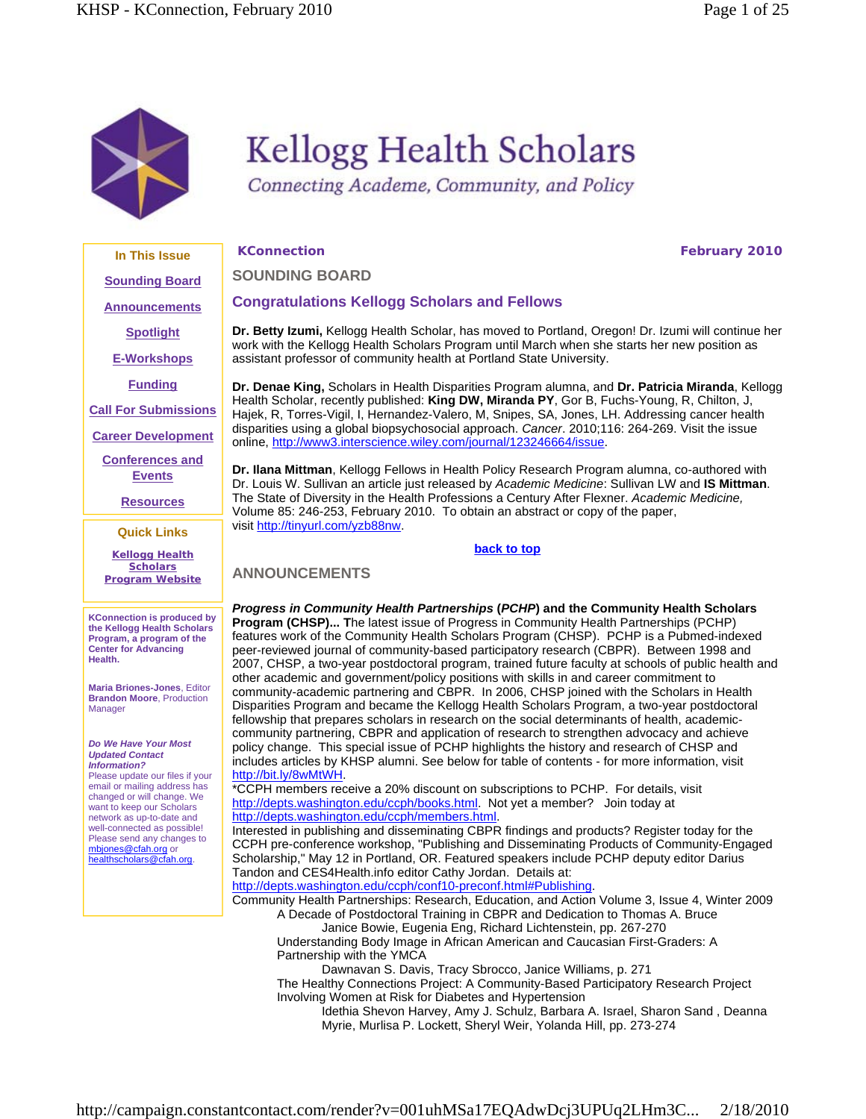

# **Kellogg Health Scholars**

Connecting Academe, Community, and Policy

**KConnection February 2010** 

**In This Issue Sounding Board Announcements Spotlight**

**E-Workshops**

**Funding**

**Call For Submissions**

**Career Development**

**Conferences and Events**

**Resources**

**Quick Links**

**Kellogg Health Scholars Program Website**

**KConnection is produced by the Kellogg Health Scholars Program, a program of the Center for Advancing Health.**

**Maria Briones-Jones**, Editor **Brandon Moore**, Production Manager

#### *Do We Have Your Most Updated Contact Information?*

Please update our files if your email or mailing address has changed or will change. We want to keep our Scholars network as up-to-date and well-connected as possible! Please send any changes to mbjones@cfah.org or healthscholars@cfah.org.

**SOUNDING BOARD**

# **Congratulations Kellogg Scholars and Fellows**

**Dr. Betty Izumi,** Kellogg Health Scholar, has moved to Portland, Oregon! Dr. Izumi will continue her work with the Kellogg Health Scholars Program until March when she starts her new position as assistant professor of community health at Portland State University.

**Dr. Denae King,** Scholars in Health Disparities Program alumna, and **Dr. Patricia Miranda**, Kellogg Health Scholar, recently published: **King DW, Miranda PY**, Gor B, Fuchs-Young, R, Chilton, J, Hajek, R, Torres-Vigil, I, Hernandez-Valero, M, Snipes, SA, Jones, LH. Addressing cancer health disparities using a global biopsychosocial approach. *Cancer*. 2010;116: 264-269. Visit the issue online, http://www3.interscience.wiley.com/journal/123246664/issue.

**Dr. Ilana Mittman**, Kellogg Fellows in Health Policy Research Program alumna, co-authored with Dr. Louis W. Sullivan an article just released by *Academic Medicine*: Sullivan LW and **IS Mittman**. The State of Diversity in the Health Professions a Century After Flexner. *Academic Medicine,* Volume 85: 246-253, February 2010. To obtain an abstract or copy of the paper, visit http://tinyurl.com/yzb88nw.

# **back to top**

**ANNOUNCEMENTS**

*Progress in Community Health Partnerships* **(***PCHP***) and the Community Health Scholars Program (CHSP)... T**he latest issue of Progress in Community Health Partnerships (PCHP) features work of the Community Health Scholars Program (CHSP). PCHP is a Pubmed-indexed peer-reviewed journal of community-based participatory research (CBPR). Between 1998 and 2007, CHSP, a two-year postdoctoral program, trained future faculty at schools of public health and other academic and government/policy positions with skills in and career commitment to community-academic partnering and CBPR. In 2006, CHSP joined with the Scholars in Health Disparities Program and became the Kellogg Health Scholars Program, a two-year postdoctoral fellowship that prepares scholars in research on the social determinants of health, academiccommunity partnering, CBPR and application of research to strengthen advocacy and achieve policy change. This special issue of PCHP highlights the history and research of CHSP and includes articles by KHSP alumni. See below for table of contents - for more information, visit http://bit.ly/8wMtWH.

\*CCPH members receive a 20% discount on subscriptions to PCHP. For details, visit http://depts.washington.edu/ccph/books.html. Not yet a member? Join today at http://depts.washington.edu/ccph/members.html.

Interested in publishing and disseminating CBPR findings and products? Register today for the CCPH pre-conference workshop, "Publishing and Disseminating Products of Community-Engaged Scholarship," May 12 in Portland, OR. Featured speakers include PCHP deputy editor Darius Tandon and CES4Health.info editor Cathy Jordan. Details at:

http://depts.washington.edu/ccph/conf10-preconf.html#Publishing.

Community Health Partnerships: Research, Education, and Action Volume 3, Issue 4, Winter 2009 A Decade of Postdoctoral Training in CBPR and Dedication to Thomas A. Bruce

Janice Bowie, Eugenia Eng, Richard Lichtenstein, pp. 267-270 Understanding Body Image in African American and Caucasian First-Graders: A

Partnership with the YMCA

Dawnavan S. Davis, Tracy Sbrocco, Janice Williams, p. 271

The Healthy Connections Project: A Community-Based Participatory Research Project Involving Women at Risk for Diabetes and Hypertension

Idethia Shevon Harvey, Amy J. Schulz, Barbara A. Israel, Sharon Sand , Deanna Myrie, Murlisa P. Lockett, Sheryl Weir, Yolanda Hill, pp. 273-274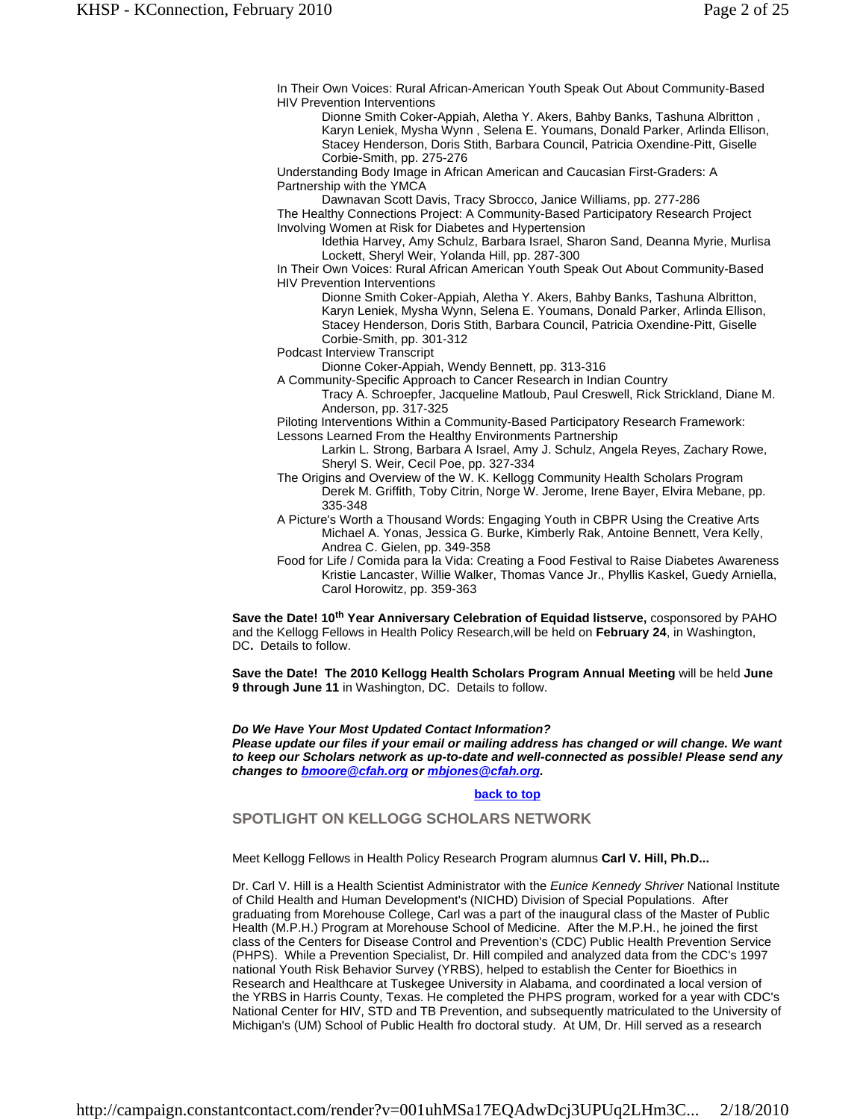In Their Own Voices: Rural African-American Youth Speak Out About Community-Based HIV Prevention Interventions

Dionne Smith Coker-Appiah, Aletha Y. Akers, Bahby Banks, Tashuna Albritton , Karyn Leniek, Mysha Wynn , Selena E. Youmans, Donald Parker, Arlinda Ellison, Stacey Henderson, Doris Stith, Barbara Council, Patricia Oxendine-Pitt, Giselle Corbie-Smith, pp. 275-276

Understanding Body Image in African American and Caucasian First-Graders: A Partnership with the YMCA

Dawnavan Scott Davis, Tracy Sbrocco, Janice Williams, pp. 277-286

The Healthy Connections Project: A Community-Based Participatory Research Project Involving Women at Risk for Diabetes and Hypertension

Idethia Harvey, Amy Schulz, Barbara Israel, Sharon Sand, Deanna Myrie, Murlisa Lockett, Sheryl Weir, Yolanda Hill, pp. 287-300

In Their Own Voices: Rural African American Youth Speak Out About Community-Based HIV Prevention Interventions

Dionne Smith Coker-Appiah, Aletha Y. Akers, Bahby Banks, Tashuna Albritton, Karyn Leniek, Mysha Wynn, Selena E. Youmans, Donald Parker, Arlinda Ellison, Stacey Henderson, Doris Stith, Barbara Council, Patricia Oxendine-Pitt, Giselle Corbie-Smith, pp. 301-312

Podcast Interview Transcript

Dionne Coker-Appiah, Wendy Bennett, pp. 313-316

A Community-Specific Approach to Cancer Research in Indian Country Tracy A. Schroepfer, Jacqueline Matloub, Paul Creswell, Rick Strickland, Diane M. Anderson, pp. 317-325

Piloting Interventions Within a Community-Based Participatory Research Framework: Lessons Learned From the Healthy Environments Partnership

Larkin L. Strong, Barbara A Israel, Amy J. Schulz, Angela Reyes, Zachary Rowe, Sheryl S. Weir, Cecil Poe, pp. 327-334

- The Origins and Overview of the W. K. Kellogg Community Health Scholars Program Derek M. Griffith, Toby Citrin, Norge W. Jerome, Irene Bayer, Elvira Mebane, pp. 335-348
- A Picture's Worth a Thousand Words: Engaging Youth in CBPR Using the Creative Arts Michael A. Yonas, Jessica G. Burke, Kimberly Rak, Antoine Bennett, Vera Kelly, Andrea C. Gielen, pp. 349-358
- Food for Life / Comida para la Vida: Creating a Food Festival to Raise Diabetes Awareness Kristie Lancaster, Willie Walker, Thomas Vance Jr., Phyllis Kaskel, Guedy Arniella, Carol Horowitz, pp. 359-363

**Save the Date! 10th Year Anniversary Celebration of Equidad listserve,** cosponsored by PAHO and the Kellogg Fellows in Health Policy Research,will be held on **February 24**, in Washington, DC**.** Details to follow.

**Save the Date! The 2010 Kellogg Health Scholars Program Annual Meeting** will be held **June 9 through June 11** in Washington, DC. Details to follow.

*Do We Have Your Most Updated Contact Information? Please update our files if your email or mailing address has changed or will change. We want to keep our Scholars network as up-to-date and well-connected as possible! Please send any changes to bmoore@cfah.org or mbjones@cfah.org.* 

#### **back to top**

**SPOTLIGHT ON KELLOGG SCHOLARS NETWORK**

Meet Kellogg Fellows in Health Policy Research Program alumnus **Carl V. Hill, Ph.D...**

Dr. Carl V. Hill is a Health Scientist Administrator with the *Eunice Kennedy Shriver* National Institute of Child Health and Human Development's (NICHD) Division of Special Populations. After graduating from Morehouse College, Carl was a part of the inaugural class of the Master of Public Health (M.P.H.) Program at Morehouse School of Medicine. After the M.P.H., he joined the first class of the Centers for Disease Control and Prevention's (CDC) Public Health Prevention Service (PHPS). While a Prevention Specialist, Dr. Hill compiled and analyzed data from the CDC's 1997 national Youth Risk Behavior Survey (YRBS), helped to establish the Center for Bioethics in Research and Healthcare at Tuskegee University in Alabama, and coordinated a local version of the YRBS in Harris County, Texas. He completed the PHPS program, worked for a year with CDC's National Center for HIV, STD and TB Prevention, and subsequently matriculated to the University of Michigan's (UM) School of Public Health fro doctoral study. At UM, Dr. Hill served as a research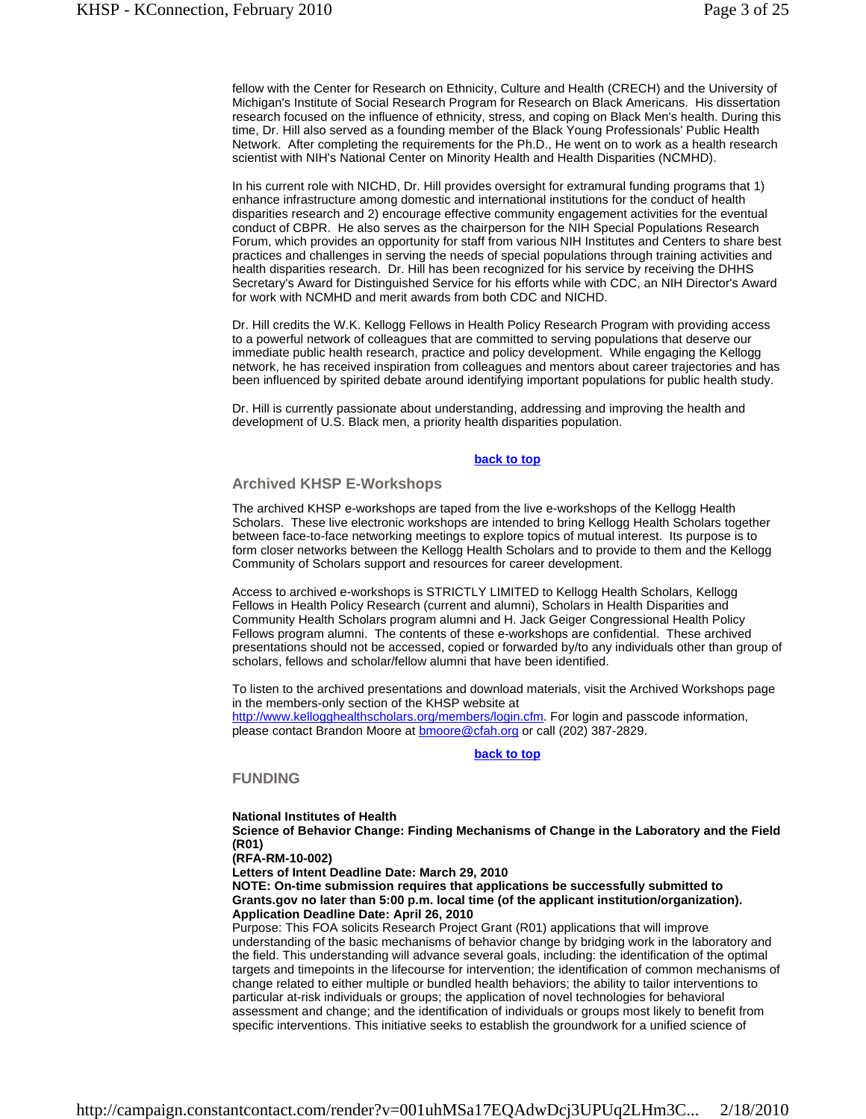fellow with the Center for Research on Ethnicity, Culture and Health (CRECH) and the University of Michigan's Institute of Social Research Program for Research on Black Americans. His dissertation research focused on the influence of ethnicity, stress, and coping on Black Men's health. During this time, Dr. Hill also served as a founding member of the Black Young Professionals' Public Health Network. After completing the requirements for the Ph.D., He went on to work as a health research scientist with NIH's National Center on Minority Health and Health Disparities (NCMHD).

In his current role with NICHD, Dr. Hill provides oversight for extramural funding programs that 1) enhance infrastructure among domestic and international institutions for the conduct of health disparities research and 2) encourage effective community engagement activities for the eventual conduct of CBPR. He also serves as the chairperson for the NIH Special Populations Research Forum, which provides an opportunity for staff from various NIH Institutes and Centers to share best practices and challenges in serving the needs of special populations through training activities and health disparities research. Dr. Hill has been recognized for his service by receiving the DHHS Secretary's Award for Distinguished Service for his efforts while with CDC, an NIH Director's Award for work with NCMHD and merit awards from both CDC and NICHD.

Dr. Hill credits the W.K. Kellogg Fellows in Health Policy Research Program with providing access to a powerful network of colleagues that are committed to serving populations that deserve our immediate public health research, practice and policy development. While engaging the Kellogg network, he has received inspiration from colleagues and mentors about career trajectories and has been influenced by spirited debate around identifying important populations for public health study.

Dr. Hill is currently passionate about understanding, addressing and improving the health and development of U.S. Black men, a priority health disparities population.

#### **back to top**

#### **Archived KHSP E-Workshops**

The archived KHSP e-workshops are taped from the live e-workshops of the Kellogg Health Scholars. These live electronic workshops are intended to bring Kellogg Health Scholars together between face-to-face networking meetings to explore topics of mutual interest. Its purpose is to form closer networks between the Kellogg Health Scholars and to provide to them and the Kellogg Community of Scholars support and resources for career development.

Access to archived e-workshops is STRICTLY LIMITED to Kellogg Health Scholars, Kellogg Fellows in Health Policy Research (current and alumni), Scholars in Health Disparities and Community Health Scholars program alumni and H. Jack Geiger Congressional Health Policy Fellows program alumni. The contents of these e-workshops are confidential. These archived presentations should not be accessed, copied or forwarded by/to any individuals other than group of scholars, fellows and scholar/fellow alumni that have been identified.

To listen to the archived presentations and download materials, visit the Archived Workshops page in the members-only section of the KHSP website at http://www.kellogghealthscholars.org/members/login.cfm. For login and passcode information, please contact Brandon Moore at **bmoore@cfah.org** or call (202) 387-2829.

# **back to top**

#### **FUNDING**

**National Institutes of Health Science of Behavior Change: Finding Mechanisms of Change in the Laboratory and the Field (R01)**

**(RFA-RM-10-002)**

**Letters of Intent Deadline Date: March 29, 2010** 

**NOTE: On-time submission requires that applications be successfully submitted to Grants.gov no later than 5:00 p.m. local time (of the applicant institution/organization). Application Deadline Date: April 26, 2010**

Purpose: This FOA solicits Research Project Grant (R01) applications that will improve understanding of the basic mechanisms of behavior change by bridging work in the laboratory and the field. This understanding will advance several goals, including: the identification of the optimal targets and timepoints in the lifecourse for intervention; the identification of common mechanisms of change related to either multiple or bundled health behaviors; the ability to tailor interventions to particular at-risk individuals or groups; the application of novel technologies for behavioral assessment and change; and the identification of individuals or groups most likely to benefit from specific interventions. This initiative seeks to establish the groundwork for a unified science of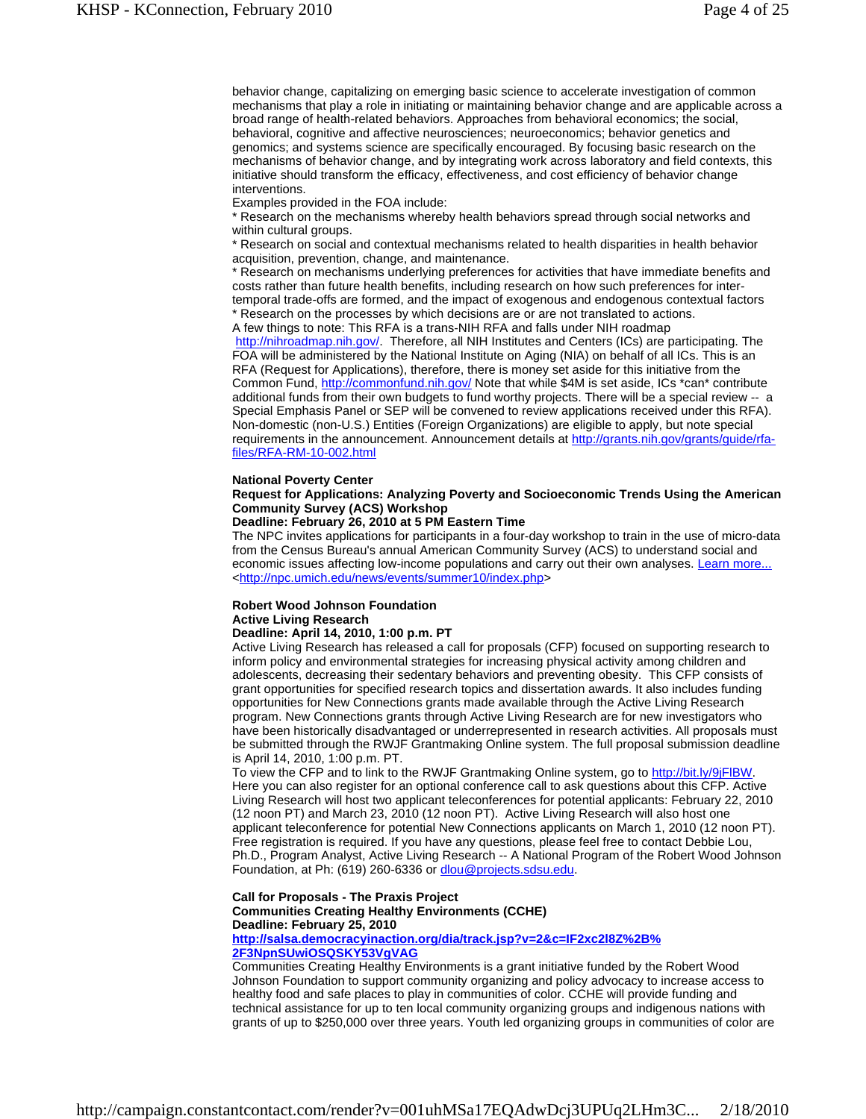behavior change, capitalizing on emerging basic science to accelerate investigation of common mechanisms that play a role in initiating or maintaining behavior change and are applicable across a broad range of health-related behaviors. Approaches from behavioral economics; the social, behavioral, cognitive and affective neurosciences; neuroeconomics; behavior genetics and genomics; and systems science are specifically encouraged. By focusing basic research on the mechanisms of behavior change, and by integrating work across laboratory and field contexts, this initiative should transform the efficacy, effectiveness, and cost efficiency of behavior change interventions.

Examples provided in the FOA include:

\* Research on the mechanisms whereby health behaviors spread through social networks and within cultural groups.

\* Research on social and contextual mechanisms related to health disparities in health behavior acquisition, prevention, change, and maintenance.

\* Research on mechanisms underlying preferences for activities that have immediate benefits and costs rather than future health benefits, including research on how such preferences for intertemporal trade-offs are formed, and the impact of exogenous and endogenous contextual factors \* Research on the processes by which decisions are or are not translated to actions.

A few things to note: This RFA is a trans-NIH RFA and falls under NIH roadmap

http://nihroadmap.nih.gov/. Therefore, all NIH Institutes and Centers (ICs) are participating. The FOA will be administered by the National Institute on Aging (NIA) on behalf of all ICs. This is an RFA (Request for Applications), therefore, there is money set aside for this initiative from the Common Fund, http://commonfund.nih.gov/ Note that while \$4M is set aside, ICs \*can\* contribute additional funds from their own budgets to fund worthy projects. There will be a special review -- a Special Emphasis Panel or SEP will be convened to review applications received under this RFA). Non-domestic (non-U.S.) Entities (Foreign Organizations) are eligible to apply, but note special requirements in the announcement. Announcement details at http://grants.nih.gov/grants/guide/rfafiles/RFA-RM-10-002.html

#### **National Poverty Center**

#### **Request for Applications: Analyzing Poverty and Socioeconomic Trends Using the American Community Survey (ACS) Workshop**

#### **Deadline: February 26, 2010 at 5 PM Eastern Time**

The NPC invites applications for participants in a four-day workshop to train in the use of micro-data from the Census Bureau's annual American Community Survey (ACS) to understand social and economic issues affecting low-income populations and carry out their own analyses. Learn more... <http://npc.umich.edu/news/events/summer10/index.php>

#### **Robert Wood Johnson Foundation Active Living Research Deadline: April 14, 2010, 1:00 p.m. PT**

Active Living Research has released a call for proposals (CFP) focused on supporting research to inform policy and environmental strategies for increasing physical activity among children and adolescents, decreasing their sedentary behaviors and preventing obesity. This CFP consists of grant opportunities for specified research topics and dissertation awards. It also includes funding opportunities for New Connections grants made available through the Active Living Research program. New Connections grants through Active Living Research are for new investigators who have been historically disadvantaged or underrepresented in research activities. All proposals must be submitted through the RWJF Grantmaking Online system. The full proposal submission deadline is April 14, 2010, 1:00 p.m. PT.

To view the CFP and to link to the RWJF Grantmaking Online system, go to http://bit.ly/9jFlBW. Here you can also register for an optional conference call to ask questions about this CFP. Active Living Research will host two applicant teleconferences for potential applicants: February 22, 2010 (12 noon PT) and March 23, 2010 (12 noon PT). Active Living Research will also host one applicant teleconference for potential New Connections applicants on March 1, 2010 (12 noon PT). Free registration is required. If you have any questions, please feel free to contact Debbie Lou, Ph.D., Program Analyst, Active Living Research -- A National Program of the Robert Wood Johnson Foundation, at Ph: (619) 260-6336 or dlou@projects.sdsu.edu.

#### **Call for Proposals - The Praxis Project Communities Creating Healthy Environments (CCHE) Deadline: February 25, 2010 http://salsa.democracyinaction.org/dia/track.jsp?v=2&c=IF2xc2l8Z%2B%**

### **2F3NpnSUwiOSQSKY53VgVAG**

Communities Creating Healthy Environments is a grant initiative funded by the Robert Wood Johnson Foundation to support community organizing and policy advocacy to increase access to healthy food and safe places to play in communities of color. CCHE will provide funding and technical assistance for up to ten local community organizing groups and indigenous nations with grants of up to \$250,000 over three years. Youth led organizing groups in communities of color are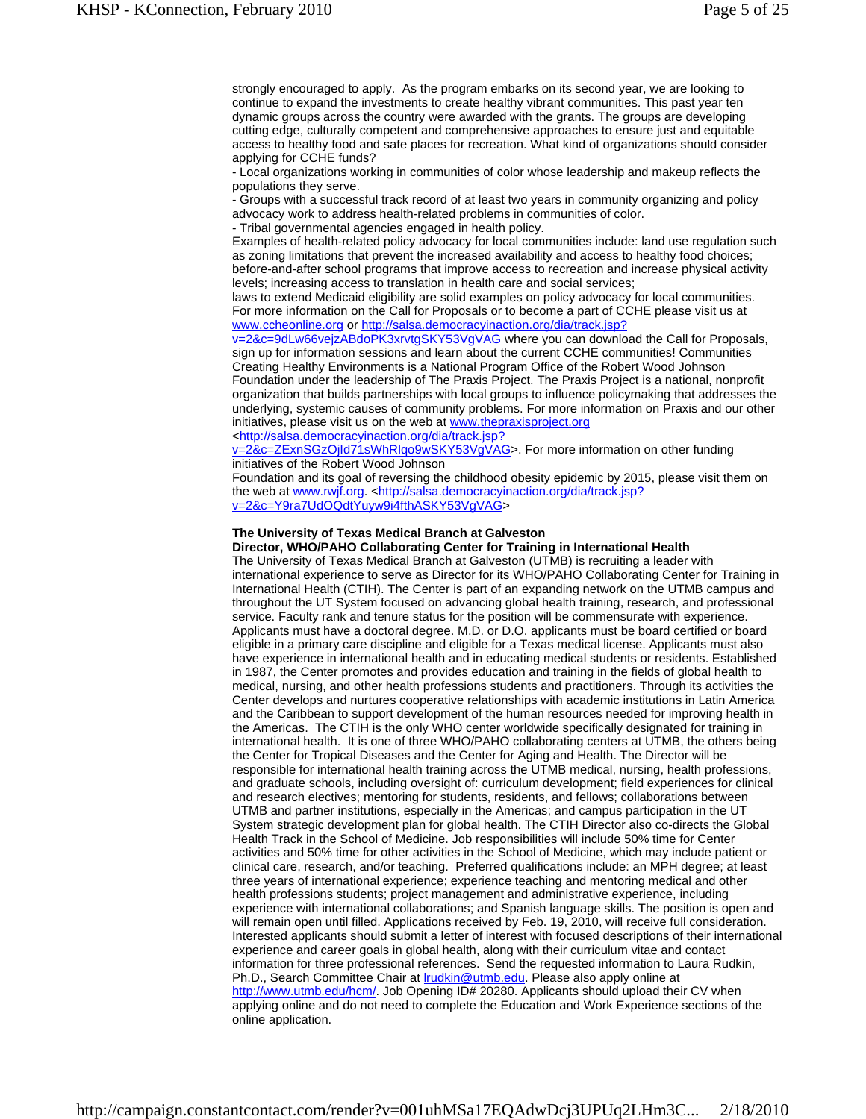strongly encouraged to apply. As the program embarks on its second year, we are looking to continue to expand the investments to create healthy vibrant communities. This past year ten dynamic groups across the country were awarded with the grants. The groups are developing cutting edge, culturally competent and comprehensive approaches to ensure just and equitable access to healthy food and safe places for recreation. What kind of organizations should consider applying for CCHE funds?

- Local organizations working in communities of color whose leadership and makeup reflects the populations they serve.

- Groups with a successful track record of at least two years in community organizing and policy advocacy work to address health-related problems in communities of color.

- Tribal governmental agencies engaged in health policy.

Examples of health-related policy advocacy for local communities include: land use regulation such as zoning limitations that prevent the increased availability and access to healthy food choices; before-and-after school programs that improve access to recreation and increase physical activity levels; increasing access to translation in health care and social services;

laws to extend Medicaid eligibility are solid examples on policy advocacy for local communities. For more information on the Call for Proposals or to become a part of CCHE please visit us at www.ccheonline.org or http://salsa.democracyinaction.org/dia/track.jsp?

v=2&c=9dLw66vejzABdoPK3xrvtgSKY53VgVAG where you can download the Call for Proposals, sign up for information sessions and learn about the current CCHE communities! Communities Creating Healthy Environments is a National Program Office of the Robert Wood Johnson Foundation under the leadership of The Praxis Project. The Praxis Project is a national, nonprofit organization that builds partnerships with local groups to influence policymaking that addresses the underlying, systemic causes of community problems. For more information on Praxis and our other initiatives, please visit us on the web at www.thepraxisproject.org

<http://salsa.democracyinaction.org/dia/track.jsp?

v=2&c=ZExnSGzOjId71sWhRlqo9wSKY53VgVAG>. For more information on other funding initiatives of the Robert Wood Johnson

Foundation and its goal of reversing the childhood obesity epidemic by 2015, please visit them on the web at www.rwjf.org. <http://salsa.democracyinaction.org/dia/track.jsp? v=2&c=Y9ra7UdOQdtYuyw9i4fthASKY53VgVAG>

#### **The University of Texas Medical Branch at Galveston**

#### **Director, WHO/PAHO Collaborating Center for Training in International Health**

The University of Texas Medical Branch at Galveston (UTMB) is recruiting a leader with international experience to serve as Director for its WHO/PAHO Collaborating Center for Training in International Health (CTIH). The Center is part of an expanding network on the UTMB campus and throughout the UT System focused on advancing global health training, research, and professional service. Faculty rank and tenure status for the position will be commensurate with experience. Applicants must have a doctoral degree. M.D. or D.O. applicants must be board certified or board eligible in a primary care discipline and eligible for a Texas medical license. Applicants must also have experience in international health and in educating medical students or residents. Established in 1987, the Center promotes and provides education and training in the fields of global health to medical, nursing, and other health professions students and practitioners. Through its activities the Center develops and nurtures cooperative relationships with academic institutions in Latin America and the Caribbean to support development of the human resources needed for improving health in the Americas. The CTIH is the only WHO center worldwide specifically designated for training in international health. It is one of three WHO/PAHO collaborating centers at UTMB, the others being the Center for Tropical Diseases and the Center for Aging and Health. The Director will be responsible for international health training across the UTMB medical, nursing, health professions, and graduate schools, including oversight of: curriculum development; field experiences for clinical and research electives; mentoring for students, residents, and fellows; collaborations between UTMB and partner institutions, especially in the Americas; and campus participation in the UT System strategic development plan for global health. The CTIH Director also co-directs the Global Health Track in the School of Medicine. Job responsibilities will include 50% time for Center activities and 50% time for other activities in the School of Medicine, which may include patient or clinical care, research, and/or teaching. Preferred qualifications include: an MPH degree; at least three years of international experience; experience teaching and mentoring medical and other health professions students; project management and administrative experience, including experience with international collaborations; and Spanish language skills. The position is open and will remain open until filled. Applications received by Feb. 19, 2010, will receive full consideration. Interested applicants should submit a letter of interest with focused descriptions of their international experience and career goals in global health, along with their curriculum vitae and contact information for three professional references. Send the requested information to Laura Rudkin, Ph.D., Search Committee Chair at *Irudkin@utmb.edu*. Please also apply online at http://www.utmb.edu/hcm/. Job Opening ID# 20280. Applicants should upload their CV when applying online and do not need to complete the Education and Work Experience sections of the online application.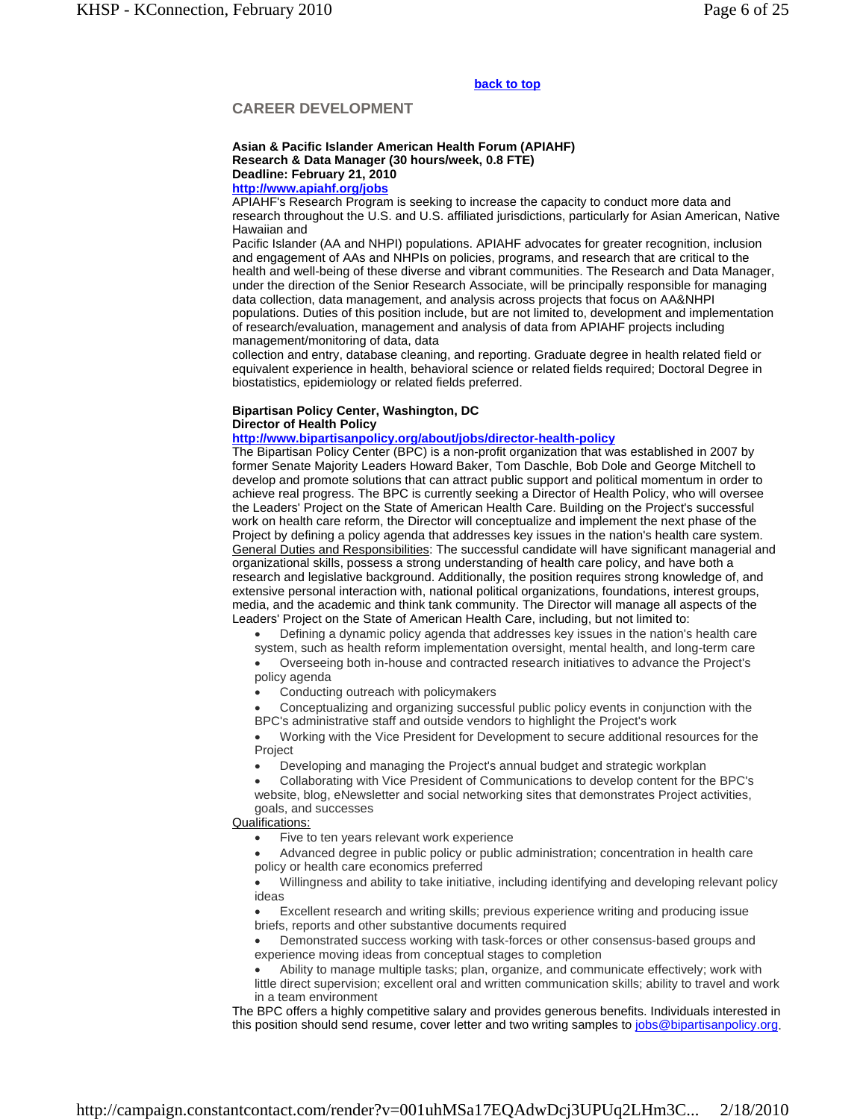#### **back to top**

# **CAREER DEVELOPMENT**

#### **Asian & Pacific Islander American Health Forum (APIAHF) Research & Data Manager (30 hours/week, 0.8 FTE) Deadline: February 21, 2010 http://www.apiahf.org/jobs**

APIAHF's Research Program is seeking to increase the capacity to conduct more data and research throughout the U.S. and U.S. affiliated jurisdictions, particularly for Asian American, Native Hawaiian and

Pacific Islander (AA and NHPI) populations. APIAHF advocates for greater recognition, inclusion and engagement of AAs and NHPIs on policies, programs, and research that are critical to the health and well-being of these diverse and vibrant communities. The Research and Data Manager, under the direction of the Senior Research Associate, will be principally responsible for managing data collection, data management, and analysis across projects that focus on AA&NHPI populations. Duties of this position include, but are not limited to, development and implementation of research/evaluation, management and analysis of data from APIAHF projects including management/monitoring of data, data

collection and entry, database cleaning, and reporting. Graduate degree in health related field or equivalent experience in health, behavioral science or related fields required; Doctoral Degree in biostatistics, epidemiology or related fields preferred.

# **Bipartisan Policy Center, Washington, DC**

#### **Director of Health Policy**

#### **http://www.bipartisanpolicy.org/about/jobs/director-health-policy**

The Bipartisan Policy Center (BPC) is a non-profit organization that was established in 2007 by former Senate Majority Leaders Howard Baker, Tom Daschle, Bob Dole and George Mitchell to develop and promote solutions that can attract public support and political momentum in order to achieve real progress. The BPC is currently seeking a Director of Health Policy, who will oversee the Leaders' Project on the State of American Health Care. Building on the Project's successful work on health care reform, the Director will conceptualize and implement the next phase of the Project by defining a policy agenda that addresses key issues in the nation's health care system. General Duties and Responsibilities: The successful candidate will have significant managerial and organizational skills, possess a strong understanding of health care policy, and have both a research and legislative background. Additionally, the position requires strong knowledge of, and extensive personal interaction with, national political organizations, foundations, interest groups, media, and the academic and think tank community. The Director will manage all aspects of the Leaders' Project on the State of American Health Care, including, but not limited to:

Defining a dynamic policy agenda that addresses key issues in the nation's health care

system, such as health reform implementation oversight, mental health, and long-term care Overseeing both in-house and contracted research initiatives to advance the Project's policy agenda

Conducting outreach with policymakers

 Conceptualizing and organizing successful public policy events in conjunction with the BPC's administrative staff and outside vendors to highlight the Project's work

 Working with the Vice President for Development to secure additional resources for the Project

Developing and managing the Project's annual budget and strategic workplan

 Collaborating with Vice President of Communications to develop content for the BPC's website, blog, eNewsletter and social networking sites that demonstrates Project activities, goals, and successes

# Qualifications:

Five to ten years relevant work experience

 Advanced degree in public policy or public administration; concentration in health care policy or health care economics preferred

 Willingness and ability to take initiative, including identifying and developing relevant policy ideas

 Excellent research and writing skills; previous experience writing and producing issue briefs, reports and other substantive documents required

 Demonstrated success working with task-forces or other consensus-based groups and experience moving ideas from conceptual stages to completion

 Ability to manage multiple tasks; plan, organize, and communicate effectively; work with little direct supervision; excellent oral and written communication skills; ability to travel and work in a team environment

The BPC offers a highly competitive salary and provides generous benefits. Individuals interested in this position should send resume, cover letter and two writing samples to jobs@bipartisanpolicy.org.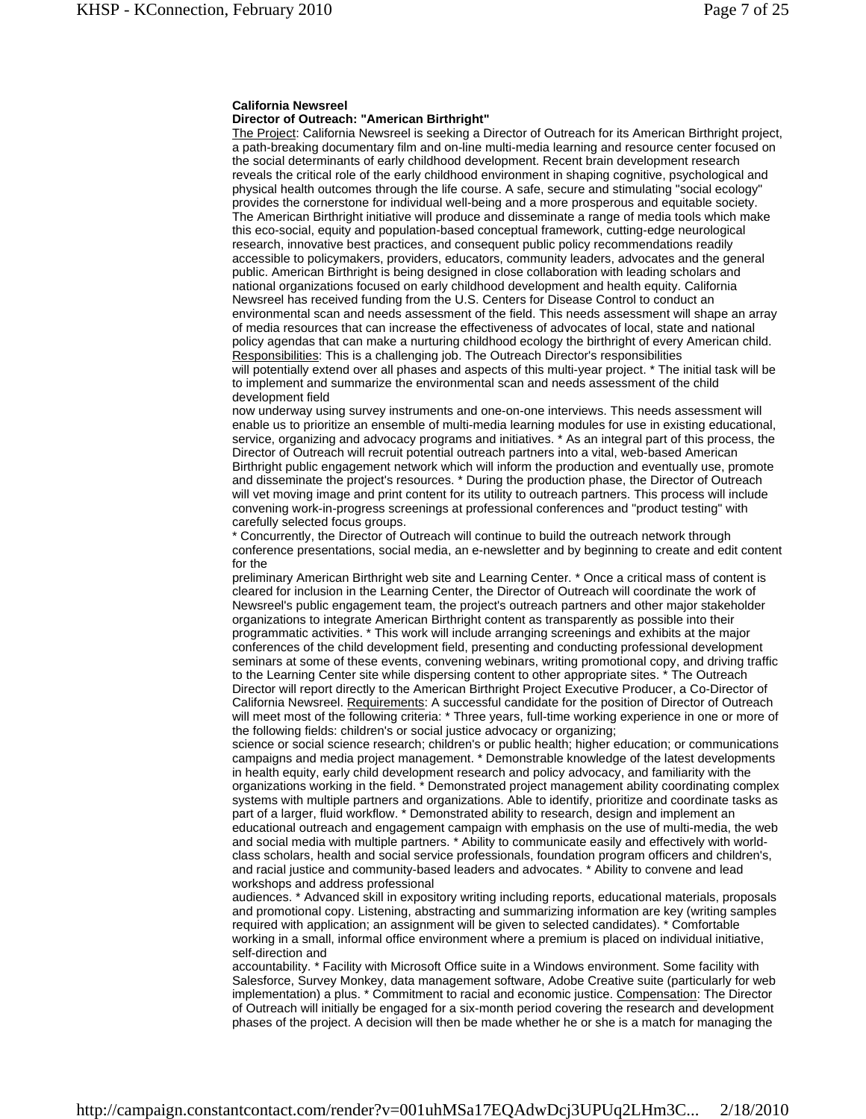# **California Newsreel**

# **Director of Outreach: "American Birthright"**

The Project: California Newsreel is seeking a Director of Outreach for its American Birthright project, a path-breaking documentary film and on-line multi-media learning and resource center focused on the social determinants of early childhood development. Recent brain development research reveals the critical role of the early childhood environment in shaping cognitive, psychological and physical health outcomes through the life course. A safe, secure and stimulating "social ecology" provides the cornerstone for individual well-being and a more prosperous and equitable society. The American Birthright initiative will produce and disseminate a range of media tools which make this eco-social, equity and population-based conceptual framework, cutting-edge neurological research, innovative best practices, and consequent public policy recommendations readily accessible to policymakers, providers, educators, community leaders, advocates and the general public. American Birthright is being designed in close collaboration with leading scholars and national organizations focused on early childhood development and health equity. California Newsreel has received funding from the U.S. Centers for Disease Control to conduct an environmental scan and needs assessment of the field. This needs assessment will shape an array of media resources that can increase the effectiveness of advocates of local, state and national policy agendas that can make a nurturing childhood ecology the birthright of every American child. Responsibilities: This is a challenging job. The Outreach Director's responsibilities will potentially extend over all phases and aspects of this multi-year project.  $*$  The initial task will be to implement and summarize the environmental scan and needs assessment of the child development field

now underway using survey instruments and one-on-one interviews. This needs assessment will enable us to prioritize an ensemble of multi-media learning modules for use in existing educational, service, organizing and advocacy programs and initiatives. \* As an integral part of this process, the Director of Outreach will recruit potential outreach partners into a vital, web-based American Birthright public engagement network which will inform the production and eventually use, promote and disseminate the project's resources. \* During the production phase, the Director of Outreach will vet moving image and print content for its utility to outreach partners. This process will include convening work-in-progress screenings at professional conferences and "product testing" with carefully selected focus groups.

\* Concurrently, the Director of Outreach will continue to build the outreach network through conference presentations, social media, an e-newsletter and by beginning to create and edit content for the

preliminary American Birthright web site and Learning Center. \* Once a critical mass of content is cleared for inclusion in the Learning Center, the Director of Outreach will coordinate the work of Newsreel's public engagement team, the project's outreach partners and other major stakeholder organizations to integrate American Birthright content as transparently as possible into their programmatic activities. \* This work will include arranging screenings and exhibits at the major conferences of the child development field, presenting and conducting professional development seminars at some of these events, convening webinars, writing promotional copy, and driving traffic to the Learning Center site while dispersing content to other appropriate sites. \* The Outreach Director will report directly to the American Birthright Project Executive Producer, a Co-Director of California Newsreel. Requirements: A successful candidate for the position of Director of Outreach will meet most of the following criteria: \* Three years, full-time working experience in one or more of the following fields: children's or social justice advocacy or organizing;

science or social science research; children's or public health; higher education; or communications campaigns and media project management. \* Demonstrable knowledge of the latest developments in health equity, early child development research and policy advocacy, and familiarity with the organizations working in the field. \* Demonstrated project management ability coordinating complex systems with multiple partners and organizations. Able to identify, prioritize and coordinate tasks as part of a larger, fluid workflow. \* Demonstrated ability to research, design and implement an educational outreach and engagement campaign with emphasis on the use of multi-media, the web and social media with multiple partners. \* Ability to communicate easily and effectively with worldclass scholars, health and social service professionals, foundation program officers and children's, and racial justice and community-based leaders and advocates. \* Ability to convene and lead workshops and address professional

audiences. \* Advanced skill in expository writing including reports, educational materials, proposals and promotional copy. Listening, abstracting and summarizing information are key (writing samples required with application; an assignment will be given to selected candidates). \* Comfortable working in a small, informal office environment where a premium is placed on individual initiative, self-direction and

accountability. \* Facility with Microsoft Office suite in a Windows environment. Some facility with Salesforce, Survey Monkey, data management software, Adobe Creative suite (particularly for web implementation) a plus. \* Commitment to racial and economic justice. Compensation: The Director of Outreach will initially be engaged for a six-month period covering the research and development phases of the project. A decision will then be made whether he or she is a match for managing the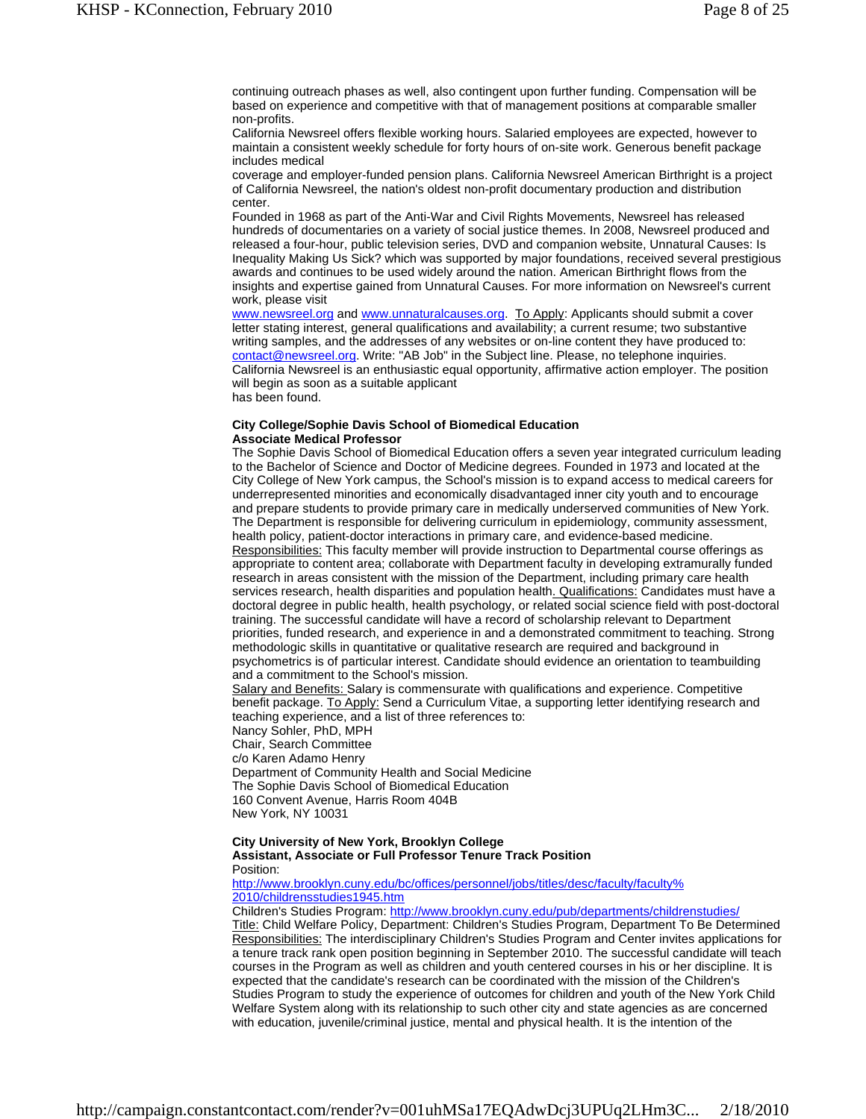continuing outreach phases as well, also contingent upon further funding. Compensation will be based on experience and competitive with that of management positions at comparable smaller non-profits.

California Newsreel offers flexible working hours. Salaried employees are expected, however to maintain a consistent weekly schedule for forty hours of on-site work. Generous benefit package includes medical

coverage and employer-funded pension plans. California Newsreel American Birthright is a project of California Newsreel, the nation's oldest non-profit documentary production and distribution center.

Founded in 1968 as part of the Anti-War and Civil Rights Movements, Newsreel has released hundreds of documentaries on a variety of social justice themes. In 2008, Newsreel produced and released a four-hour, public television series, DVD and companion website, Unnatural Causes: Is Inequality Making Us Sick? which was supported by major foundations, received several prestigious awards and continues to be used widely around the nation. American Birthright flows from the insights and expertise gained from Unnatural Causes. For more information on Newsreel's current work, please visit

www.newsreel.org and www.unnaturalcauses.org. To Apply: Applicants should submit a cover letter stating interest, general qualifications and availability; a current resume; two substantive writing samples, and the addresses of any websites or on-line content they have produced to: contact@newsreel.org. Write: "AB Job" in the Subject line. Please, no telephone inquiries. California Newsreel is an enthusiastic equal opportunity, affirmative action employer. The position will begin as soon as a suitable applicant has been found.

#### **City College/Sophie Davis School of Biomedical Education Associate Medical Professor**

The Sophie Davis School of Biomedical Education offers a seven year integrated curriculum leading to the Bachelor of Science and Doctor of Medicine degrees. Founded in 1973 and located at the City College of New York campus, the School's mission is to expand access to medical careers for underrepresented minorities and economically disadvantaged inner city youth and to encourage and prepare students to provide primary care in medically underserved communities of New York. The Department is responsible for delivering curriculum in epidemiology, community assessment, health policy, patient-doctor interactions in primary care, and evidence-based medicine. Responsibilities: This faculty member will provide instruction to Departmental course offerings as appropriate to content area; collaborate with Department faculty in developing extramurally funded research in areas consistent with the mission of the Department, including primary care health services research, health disparities and population health. Qualifications: Candidates must have a doctoral degree in public health, health psychology, or related social science field with post-doctoral training. The successful candidate will have a record of scholarship relevant to Department priorities, funded research, and experience in and a demonstrated commitment to teaching. Strong methodologic skills in quantitative or qualitative research are required and background in psychometrics is of particular interest. Candidate should evidence an orientation to teambuilding and a commitment to the School's mission.

Salary and Benefits: Salary is commensurate with qualifications and experience. Competitive benefit package. To Apply: Send a Curriculum Vitae, a supporting letter identifying research and teaching experience, and a list of three references to:

Nancy Sohler, PhD, MPH Chair, Search Committee c/o Karen Adamo Henry Department of Community Health and Social Medicine The Sophie Davis School of Biomedical Education 160 Convent Avenue, Harris Room 404B New York, NY 10031

#### **City University of New York, Brooklyn College**

**Assistant, Associate or Full Professor Tenure Track Position**  Position:

http://www.brooklyn.cuny.edu/bc/offices/personnel/jobs/titles/desc/faculty/faculty% 2010/childrensstudies1945.htm

Children's Studies Program: http://www.brooklyn.cuny.edu/pub/departments/childrenstudies/ Title: Child Welfare Policy, Department: Children's Studies Program, Department To Be Determined Responsibilities: The interdisciplinary Children's Studies Program and Center invites applications for a tenure track rank open position beginning in September 2010. The successful candidate will teach courses in the Program as well as children and youth centered courses in his or her discipline. It is expected that the candidate's research can be coordinated with the mission of the Children's Studies Program to study the experience of outcomes for children and youth of the New York Child Welfare System along with its relationship to such other city and state agencies as are concerned with education, juvenile/criminal justice, mental and physical health. It is the intention of the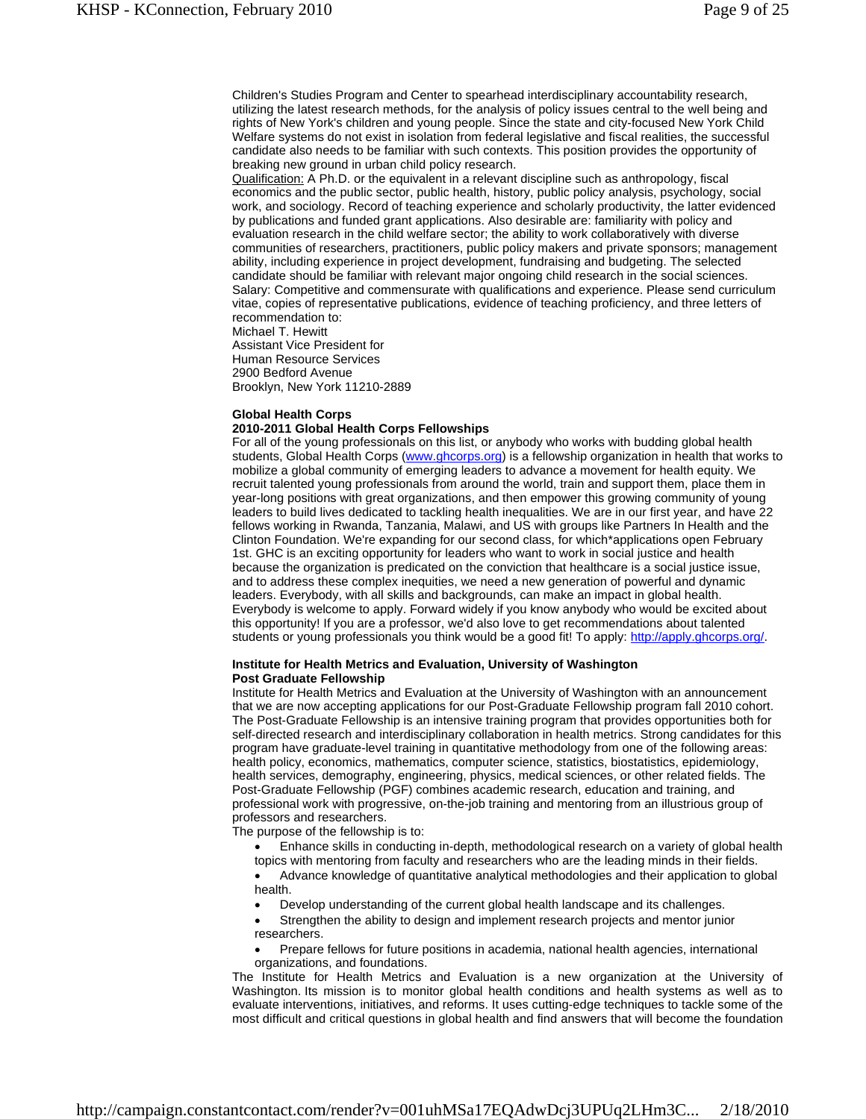Children's Studies Program and Center to spearhead interdisciplinary accountability research, utilizing the latest research methods, for the analysis of policy issues central to the well being and rights of New York's children and young people. Since the state and city-focused New York Child Welfare systems do not exist in isolation from federal legislative and fiscal realities, the successful candidate also needs to be familiar with such contexts. This position provides the opportunity of breaking new ground in urban child policy research.

Qualification: A Ph.D. or the equivalent in a relevant discipline such as anthropology, fiscal economics and the public sector, public health, history, public policy analysis, psychology, social work, and sociology. Record of teaching experience and scholarly productivity, the latter evidenced by publications and funded grant applications. Also desirable are: familiarity with policy and evaluation research in the child welfare sector; the ability to work collaboratively with diverse communities of researchers, practitioners, public policy makers and private sponsors; management ability, including experience in project development, fundraising and budgeting. The selected candidate should be familiar with relevant major ongoing child research in the social sciences. Salary: Competitive and commensurate with qualifications and experience. Please send curriculum vitae, copies of representative publications, evidence of teaching proficiency, and three letters of recommendation to:

Michael T. Hewitt Assistant Vice President for Human Resource Services 2900 Bedford Avenue Brooklyn, New York 11210-2889

#### **Global Health Corps**

#### **2010-2011 Global Health Corps Fellowships**

For all of the young professionals on this list, or anybody who works with budding global health students, Global Health Corps (www.ghcorps.org) is a fellowship organization in health that works to mobilize a global community of emerging leaders to advance a movement for health equity. We recruit talented young professionals from around the world, train and support them, place them in year-long positions with great organizations, and then empower this growing community of young leaders to build lives dedicated to tackling health inequalities. We are in our first year, and have 22 fellows working in Rwanda, Tanzania, Malawi, and US with groups like Partners In Health and the Clinton Foundation. We're expanding for our second class, for which\*applications open February 1st. GHC is an exciting opportunity for leaders who want to work in social justice and health because the organization is predicated on the conviction that healthcare is a social justice issue, and to address these complex inequities, we need a new generation of powerful and dynamic leaders. Everybody, with all skills and backgrounds, can make an impact in global health. Everybody is welcome to apply. Forward widely if you know anybody who would be excited about this opportunity! If you are a professor, we'd also love to get recommendations about talented students or young professionals you think would be a good fit! To apply: http://apply.ghcorps.org/.

#### **Institute for Health Metrics and Evaluation, University of Washington Post Graduate Fellowship**

Institute for Health Metrics and Evaluation at the University of Washington with an announcement that we are now accepting applications for our Post-Graduate Fellowship program fall 2010 cohort. The Post-Graduate Fellowship is an intensive training program that provides opportunities both for self-directed research and interdisciplinary collaboration in health metrics. Strong candidates for this program have graduate-level training in quantitative methodology from one of the following areas: health policy, economics, mathematics, computer science, statistics, biostatistics, epidemiology, health services, demography, engineering, physics, medical sciences, or other related fields. The Post-Graduate Fellowship (PGF) combines academic research, education and training, and professional work with progressive, on-the-job training and mentoring from an illustrious group of professors and researchers.

The purpose of the fellowship is to:

- Enhance skills in conducting in-depth, methodological research on a variety of global health topics with mentoring from faculty and researchers who are the leading minds in their fields.
- Advance knowledge of quantitative analytical methodologies and their application to global health.
- Develop understanding of the current global health landscape and its challenges.
- Strengthen the ability to design and implement research projects and mentor junior researchers.
- Prepare fellows for future positions in academia, national health agencies, international organizations, and foundations.

The Institute for Health Metrics and Evaluation is a new organization at the University of Washington. Its mission is to monitor global health conditions and health systems as well as to evaluate interventions, initiatives, and reforms. It uses cutting-edge techniques to tackle some of the most difficult and critical questions in global health and find answers that will become the foundation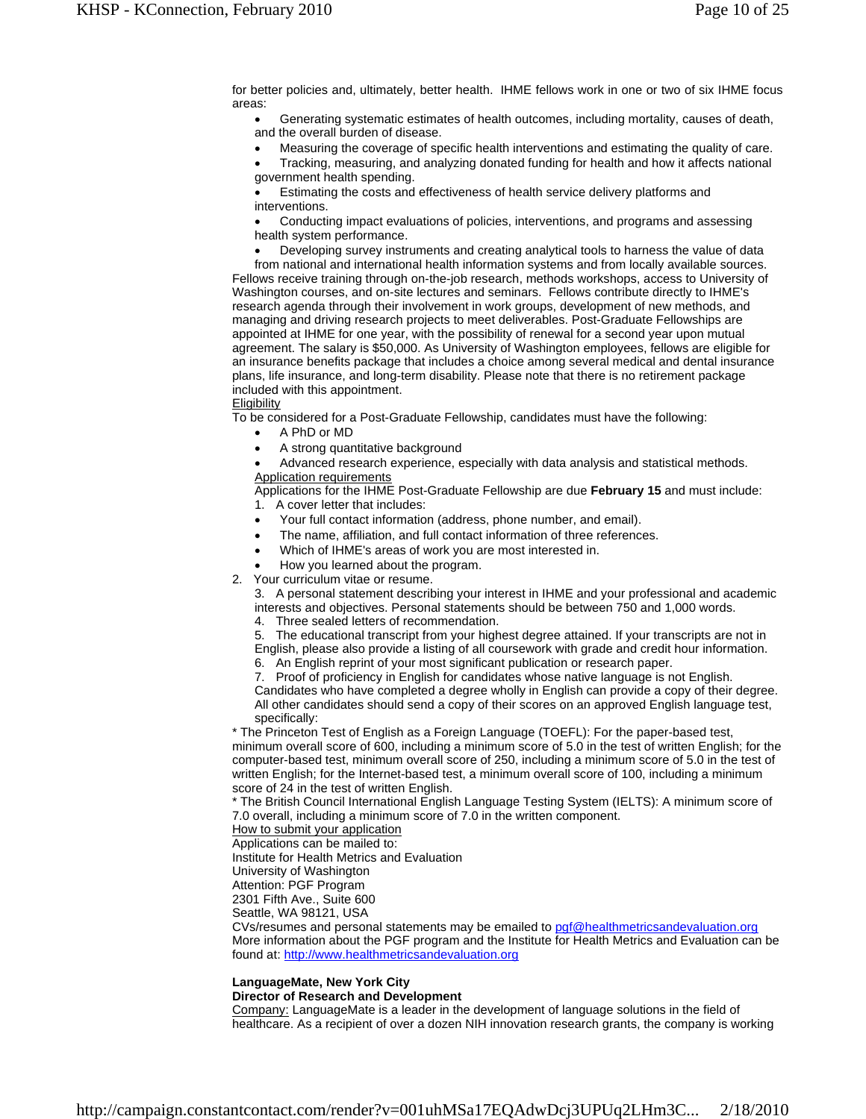for better policies and, ultimately, better health. IHME fellows work in one or two of six IHME focus areas:

 Generating systematic estimates of health outcomes, including mortality, causes of death, and the overall burden of disease.

Measuring the coverage of specific health interventions and estimating the quality of care.

 Tracking, measuring, and analyzing donated funding for health and how it affects national government health spending.

 Estimating the costs and effectiveness of health service delivery platforms and interventions.

 Conducting impact evaluations of policies, interventions, and programs and assessing health system performance.

 Developing survey instruments and creating analytical tools to harness the value of data from national and international health information systems and from locally available sources. Fellows receive training through on-the-job research, methods workshops, access to University of Washington courses, and on-site lectures and seminars. Fellows contribute directly to IHME's research agenda through their involvement in work groups, development of new methods, and managing and driving research projects to meet deliverables. Post-Graduate Fellowships are appointed at IHME for one year, with the possibility of renewal for a second year upon mutual agreement. The salary is \$50,000. As University of Washington employees, fellows are eligible for an insurance benefits package that includes a choice among several medical and dental insurance plans, life insurance, and long-term disability. Please note that there is no retirement package included with this appointment.

#### **Eligibility**

To be considered for a Post-Graduate Fellowship, candidates must have the following:

- A PhD or MD
- A strong quantitative background

 Advanced research experience, especially with data analysis and statistical methods. Application requirements

Applications for the IHME Post-Graduate Fellowship are due **February 15** and must include: 1. A cover letter that includes:

- Your full contact information (address, phone number, and email).
- The name, affiliation, and full contact information of three references.
- Which of IHME's areas of work you are most interested in.
- How you learned about the program.
- 2. Your curriculum vitae or resume.

3. A personal statement describing your interest in IHME and your professional and academic interests and objectives. Personal statements should be between 750 and 1,000 words.

4. Three sealed letters of recommendation.

- 5. The educational transcript from your highest degree attained. If your transcripts are not in
- English, please also provide a listing of all coursework with grade and credit hour information.
- 6. An English reprint of your most significant publication or research paper.
- 7. Proof of proficiency in English for candidates whose native language is not English.

Candidates who have completed a degree wholly in English can provide a copy of their degree. All other candidates should send a copy of their scores on an approved English language test, specifically:

\* The Princeton Test of English as a Foreign Language (TOEFL): For the paper-based test, minimum overall score of 600, including a minimum score of 5.0 in the test of written English; for the computer-based test, minimum overall score of 250, including a minimum score of 5.0 in the test of written English; for the Internet-based test, a minimum overall score of 100, including a minimum score of 24 in the test of written English.

\* The British Council International English Language Testing System (IELTS): A minimum score of 7.0 overall, including a minimum score of 7.0 in the written component.

How to submit your application

Applications can be mailed to:

Institute for Health Metrics and Evaluation

University of Washington

Attention: PGF Program

2301 Fifth Ave., Suite 600

Seattle, WA 98121, USA

CVs/resumes and personal statements may be emailed to pgf@healthmetricsandevaluation.org More information about the PGF program and the Institute for Health Metrics and Evaluation can be found at: http://www.healthmetricsandevaluation.org

#### **LanguageMate, New York City**

#### **Director of Research and Development**

Company: LanguageMate is a leader in the development of language solutions in the field of healthcare. As a recipient of over a dozen NIH innovation research grants, the company is working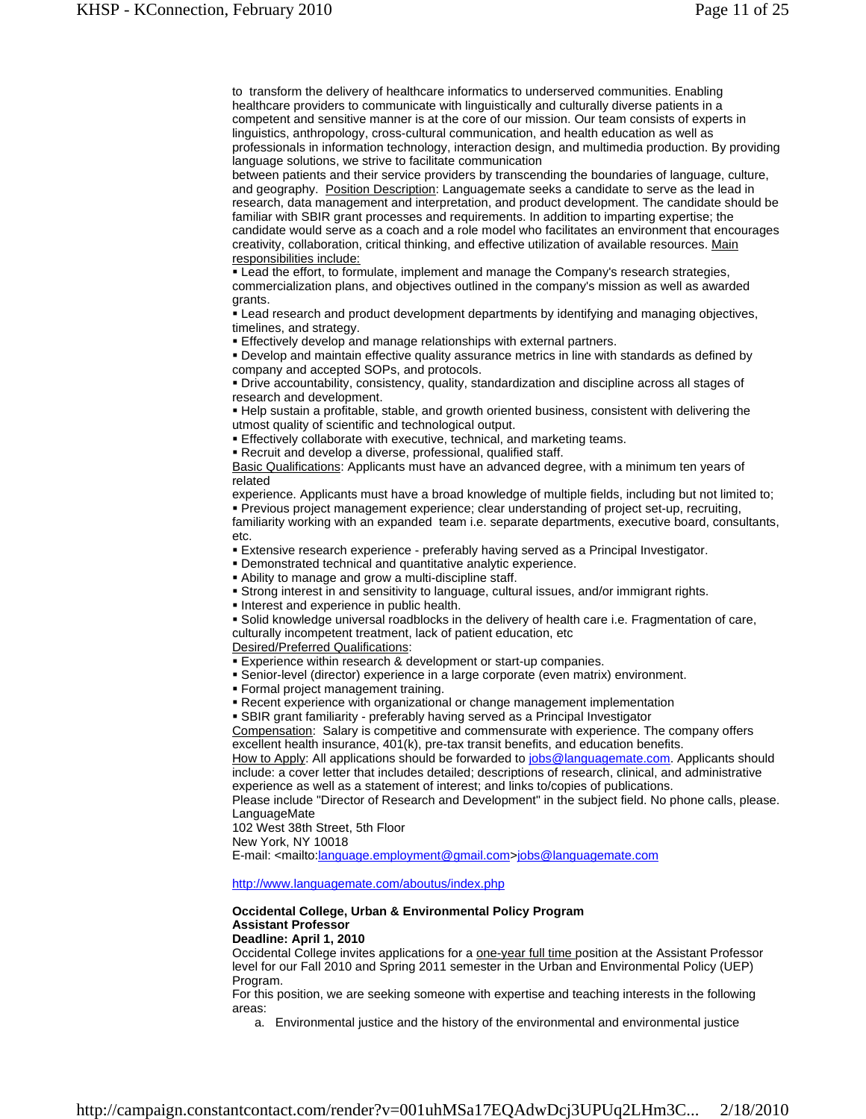to transform the delivery of healthcare informatics to underserved communities. Enabling healthcare providers to communicate with linguistically and culturally diverse patients in a competent and sensitive manner is at the core of our mission. Our team consists of experts in linguistics, anthropology, cross-cultural communication, and health education as well as professionals in information technology, interaction design, and multimedia production. By providing language solutions, we strive to facilitate communication

between patients and their service providers by transcending the boundaries of language, culture, and geography. Position Description: Languagemate seeks a candidate to serve as the lead in research, data management and interpretation, and product development. The candidate should be familiar with SBIR grant processes and requirements. In addition to imparting expertise; the candidate would serve as a coach and a role model who facilitates an environment that encourages creativity, collaboration, critical thinking, and effective utilization of available resources. Main responsibilities include:

 Lead the effort, to formulate, implement and manage the Company's research strategies, commercialization plans, and objectives outlined in the company's mission as well as awarded grants.

 Lead research and product development departments by identifying and managing objectives, timelines, and strategy.

Effectively develop and manage relationships with external partners.

 Develop and maintain effective quality assurance metrics in line with standards as defined by company and accepted SOPs, and protocols.

 Drive accountability, consistency, quality, standardization and discipline across all stages of research and development.

 Help sustain a profitable, stable, and growth oriented business, consistent with delivering the utmost quality of scientific and technological output.

Effectively collaborate with executive, technical, and marketing teams.

Recruit and develop a diverse, professional, qualified staff.

Basic Qualifications: Applicants must have an advanced degree, with a minimum ten years of related

experience. Applicants must have a broad knowledge of multiple fields, including but not limited to; Previous project management experience; clear understanding of project set-up, recruiting, familiarity working with an expanded team i.e. separate departments, executive board, consultants, etc.

Extensive research experience - preferably having served as a Principal Investigator.

Demonstrated technical and quantitative analytic experience.

Ability to manage and grow a multi-discipline staff.

Strong interest in and sensitivity to language, cultural issues, and/or immigrant rights.

**Interest and experience in public health.** 

 Solid knowledge universal roadblocks in the delivery of health care i.e. Fragmentation of care, culturally incompetent treatment, lack of patient education, etc

Desired/Preferred Qualifications:

- **Experience within research & development or start-up companies.**
- Senior-level (director) experience in a large corporate (even matrix) environment.
- Formal project management training.

Recent experience with organizational or change management implementation

SBIR grant familiarity - preferably having served as a Principal Investigator

Compensation: Salary is competitive and commensurate with experience. The company offers excellent health insurance, 401(k), pre-tax transit benefits, and education benefits.

How to Apply: All applications should be forwarded to jobs@languagemate.com. Applicants should include: a cover letter that includes detailed; descriptions of research, clinical, and administrative experience as well as a statement of interest; and links to/copies of publications.

Please include "Director of Research and Development" in the subject field. No phone calls, please. LanguageMate

102 West 38th Street, 5th Floor

New York, NY 10018

E-mail: <mailto:language.employment@gmail.com>jobs@languagemate.com

http://www.languagemate.com/aboutus/index.php

#### **Occidental College, Urban & Environmental Policy Program Assistant Professor Deadline: April 1, 2010**

Occidental College invites applications for a one-year full time position at the Assistant Professor level for our Fall 2010 and Spring 2011 semester in the Urban and Environmental Policy (UEP) Program.

For this position, we are seeking someone with expertise and teaching interests in the following areas:

a. Environmental justice and the history of the environmental and environmental justice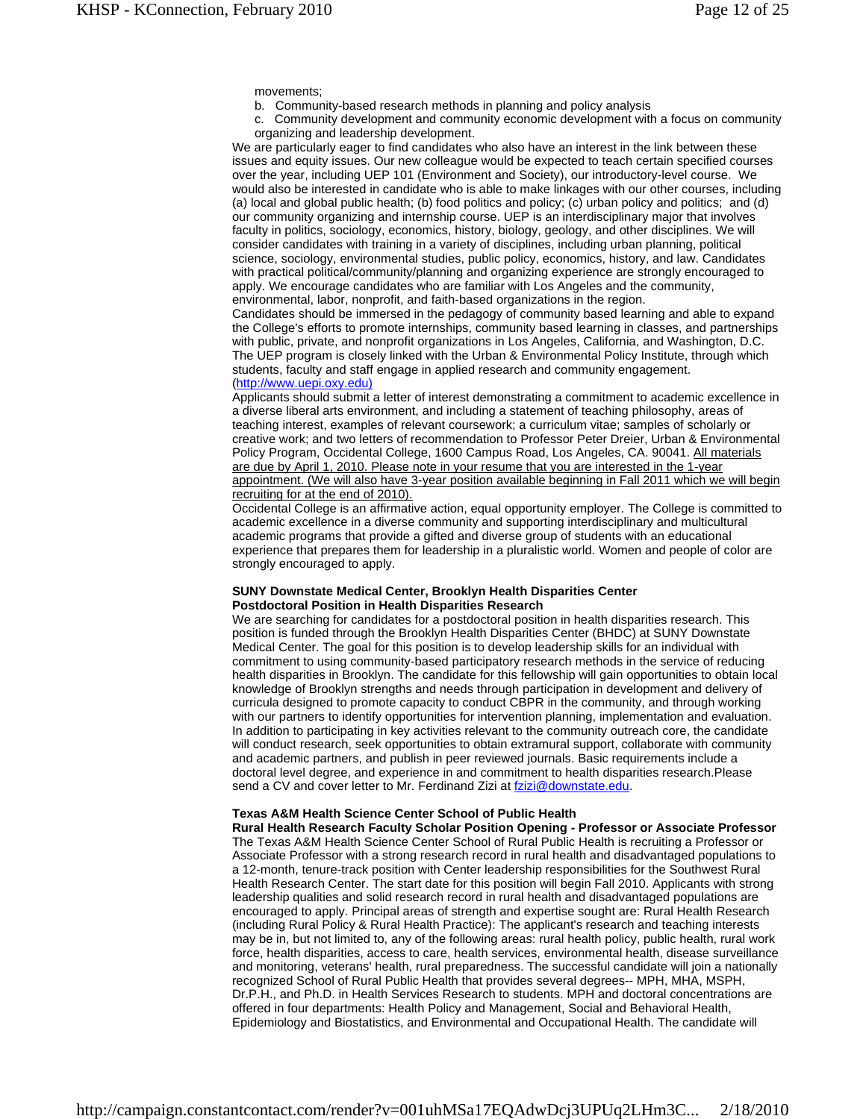movements;

b. Community-based research methods in planning and policy analysis

c. Community development and community economic development with a focus on community organizing and leadership development.

We are particularly eager to find candidates who also have an interest in the link between these issues and equity issues. Our new colleague would be expected to teach certain specified courses over the year, including UEP 101 (Environment and Society), our introductory-level course. We would also be interested in candidate who is able to make linkages with our other courses, including (a) local and global public health; (b) food politics and policy; (c) urban policy and politics; and (d) our community organizing and internship course. UEP is an interdisciplinary major that involves faculty in politics, sociology, economics, history, biology, geology, and other disciplines. We will consider candidates with training in a variety of disciplines, including urban planning, political science, sociology, environmental studies, public policy, economics, history, and law. Candidates with practical political/community/planning and organizing experience are strongly encouraged to apply. We encourage candidates who are familiar with Los Angeles and the community, environmental, labor, nonprofit, and faith-based organizations in the region.

Candidates should be immersed in the pedagogy of community based learning and able to expand the College's efforts to promote internships, community based learning in classes, and partnerships with public, private, and nonprofit organizations in Los Angeles, California, and Washington, D.C. The UEP program is closely linked with the Urban & Environmental Policy Institute, through which students, faculty and staff engage in applied research and community engagement. (http://www.uepi.oxy.edu)

Applicants should submit a letter of interest demonstrating a commitment to academic excellence in a diverse liberal arts environment, and including a statement of teaching philosophy, areas of teaching interest, examples of relevant coursework; a curriculum vitae; samples of scholarly or creative work; and two letters of recommendation to Professor Peter Dreier, Urban & Environmental Policy Program, Occidental College, 1600 Campus Road, Los Angeles, CA. 90041. All materials are due by April 1, 2010. Please note in your resume that you are interested in the 1-year appointment. (We will also have 3-year position available beginning in Fall 2011 which we will begin recruiting for at the end of 2010).

Occidental College is an affirmative action, equal opportunity employer. The College is committed to academic excellence in a diverse community and supporting interdisciplinary and multicultural academic programs that provide a gifted and diverse group of students with an educational experience that prepares them for leadership in a pluralistic world. Women and people of color are strongly encouraged to apply.

# **SUNY Downstate Medical Center, Brooklyn Health Disparities Center Postdoctoral Position in Health Disparities Research**

We are searching for candidates for a postdoctoral position in health disparities research. This position is funded through the Brooklyn Health Disparities Center (BHDC) at SUNY Downstate Medical Center. The goal for this position is to develop leadership skills for an individual with commitment to using community-based participatory research methods in the service of reducing health disparities in Brooklyn. The candidate for this fellowship will gain opportunities to obtain local knowledge of Brooklyn strengths and needs through participation in development and delivery of curricula designed to promote capacity to conduct CBPR in the community, and through working with our partners to identify opportunities for intervention planning, implementation and evaluation. In addition to participating in key activities relevant to the community outreach core, the candidate will conduct research, seek opportunities to obtain extramural support, collaborate with community and academic partners, and publish in peer reviewed journals. Basic requirements include a doctoral level degree, and experience in and commitment to health disparities research.Please send a CV and cover letter to Mr. Ferdinand Zizi at fzizi@downstate.edu.

### **Texas A&M Health Science Center School of Public Health**

**Rural Health Research Faculty Scholar Position Opening - Professor or Associate Professor** The Texas A&M Health Science Center School of Rural Public Health is recruiting a Professor or Associate Professor with a strong research record in rural health and disadvantaged populations to a 12-month, tenure-track position with Center leadership responsibilities for the Southwest Rural Health Research Center. The start date for this position will begin Fall 2010. Applicants with strong leadership qualities and solid research record in rural health and disadvantaged populations are encouraged to apply. Principal areas of strength and expertise sought are: Rural Health Research (including Rural Policy & Rural Health Practice): The applicant's research and teaching interests may be in, but not limited to, any of the following areas: rural health policy, public health, rural work force, health disparities, access to care, health services, environmental health, disease surveillance and monitoring, veterans' health, rural preparedness. The successful candidate will join a nationally recognized School of Rural Public Health that provides several degrees-- MPH, MHA, MSPH, Dr.P.H., and Ph.D. in Health Services Research to students. MPH and doctoral concentrations are offered in four departments: Health Policy and Management, Social and Behavioral Health, Epidemiology and Biostatistics, and Environmental and Occupational Health. The candidate will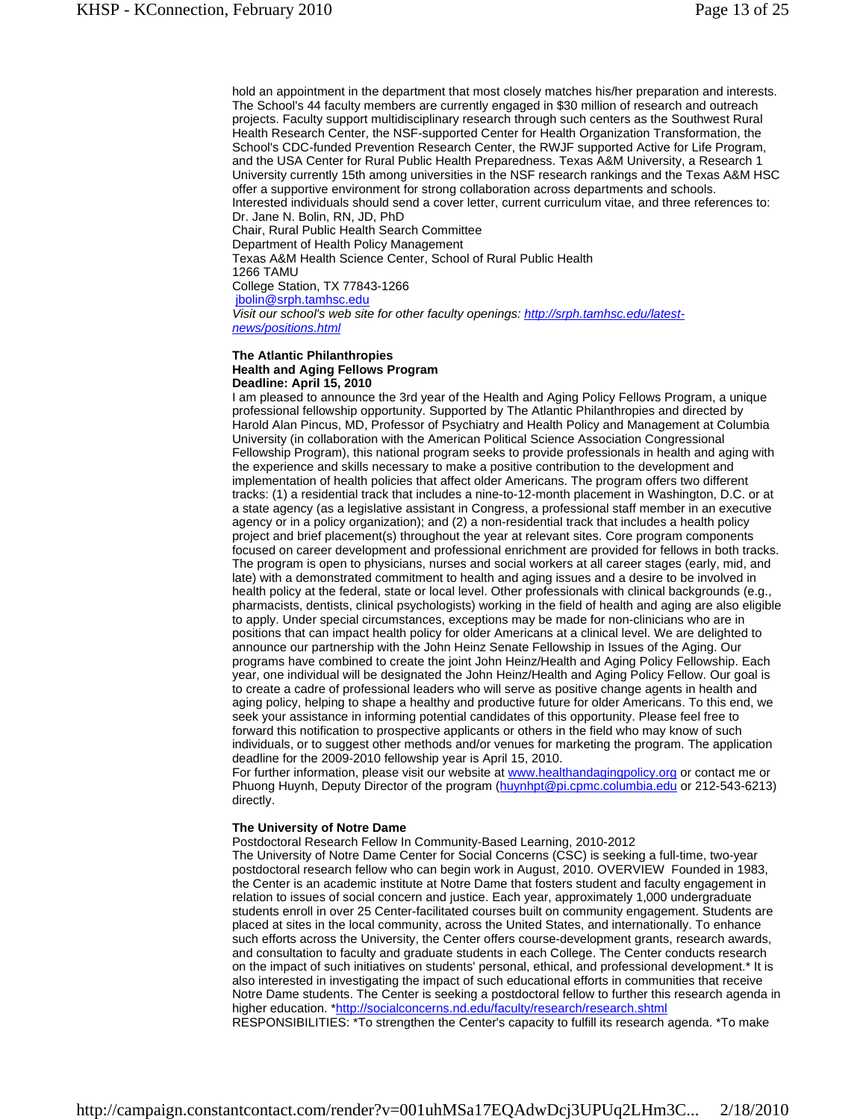hold an appointment in the department that most closely matches his/her preparation and interests. The School's 44 faculty members are currently engaged in \$30 million of research and outreach projects. Faculty support multidisciplinary research through such centers as the Southwest Rural Health Research Center, the NSF-supported Center for Health Organization Transformation, the School's CDC-funded Prevention Research Center, the RWJF supported Active for Life Program, and the USA Center for Rural Public Health Preparedness. Texas A&M University, a Research 1 University currently 15th among universities in the NSF research rankings and the Texas A&M HSC offer a supportive environment for strong collaboration across departments and schools. Interested individuals should send a cover letter, current curriculum vitae, and three references to:

Dr. Jane N. Bolin, RN, JD, PhD

Chair, Rural Public Health Search Committee

Department of Health Policy Management

Texas A&M Health Science Center, School of Rural Public Health

1266 TAMU

College Station, TX 77843-1266

jbolin@srph.tamhsc.edu

*Visit our school's web site for other faculty openings: http://srph.tamhsc.edu/latestnews/positions.html*

#### **The Atlantic Philanthropies Health and Aging Fellows Program Deadline: April 15, 2010**

I am pleased to announce the 3rd year of the Health and Aging Policy Fellows Program, a unique professional fellowship opportunity. Supported by The Atlantic Philanthropies and directed by Harold Alan Pincus, MD, Professor of Psychiatry and Health Policy and Management at Columbia University (in collaboration with the American Political Science Association Congressional Fellowship Program), this national program seeks to provide professionals in health and aging with the experience and skills necessary to make a positive contribution to the development and implementation of health policies that affect older Americans. The program offers two different tracks: (1) a residential track that includes a nine-to-12-month placement in Washington, D.C. or at a state agency (as a legislative assistant in Congress, a professional staff member in an executive agency or in a policy organization); and (2) a non-residential track that includes a health policy project and brief placement(s) throughout the year at relevant sites. Core program components focused on career development and professional enrichment are provided for fellows in both tracks. The program is open to physicians, nurses and social workers at all career stages (early, mid, and late) with a demonstrated commitment to health and aging issues and a desire to be involved in health policy at the federal, state or local level. Other professionals with clinical backgrounds (e.g., pharmacists, dentists, clinical psychologists) working in the field of health and aging are also eligible to apply. Under special circumstances, exceptions may be made for non-clinicians who are in positions that can impact health policy for older Americans at a clinical level. We are delighted to announce our partnership with the John Heinz Senate Fellowship in Issues of the Aging. Our programs have combined to create the joint John Heinz/Health and Aging Policy Fellowship. Each year, one individual will be designated the John Heinz/Health and Aging Policy Fellow. Our goal is to create a cadre of professional leaders who will serve as positive change agents in health and aging policy, helping to shape a healthy and productive future for older Americans. To this end, we seek your assistance in informing potential candidates of this opportunity. Please feel free to forward this notification to prospective applicants or others in the field who may know of such individuals, or to suggest other methods and/or venues for marketing the program. The application deadline for the 2009-2010 fellowship year is April 15, 2010.

For further information, please visit our website at www.healthandagingpolicy.org or contact me or Phuong Huynh, Deputy Director of the program (huynhpt@pi.cpmc.columbia.edu or 212-543-6213) directly.

#### **The University of Notre Dame**

Postdoctoral Research Fellow In Community-Based Learning, 2010-2012

The University of Notre Dame Center for Social Concerns (CSC) is seeking a full-time, two-year postdoctoral research fellow who can begin work in August, 2010. OVERVIEW Founded in 1983, the Center is an academic institute at Notre Dame that fosters student and faculty engagement in relation to issues of social concern and justice. Each year, approximately 1,000 undergraduate students enroll in over 25 Center-facilitated courses built on community engagement. Students are placed at sites in the local community, across the United States, and internationally. To enhance such efforts across the University, the Center offers course-development grants, research awards, and consultation to faculty and graduate students in each College. The Center conducts research on the impact of such initiatives on students' personal, ethical, and professional development.\* It is also interested in investigating the impact of such educational efforts in communities that receive Notre Dame students. The Center is seeking a postdoctoral fellow to further this research agenda in higher education. \*http://socialconcerns.nd.edu/faculty/research/research.shtml

RESPONSIBILITIES: \*To strengthen the Center's capacity to fulfill its research agenda. \*To make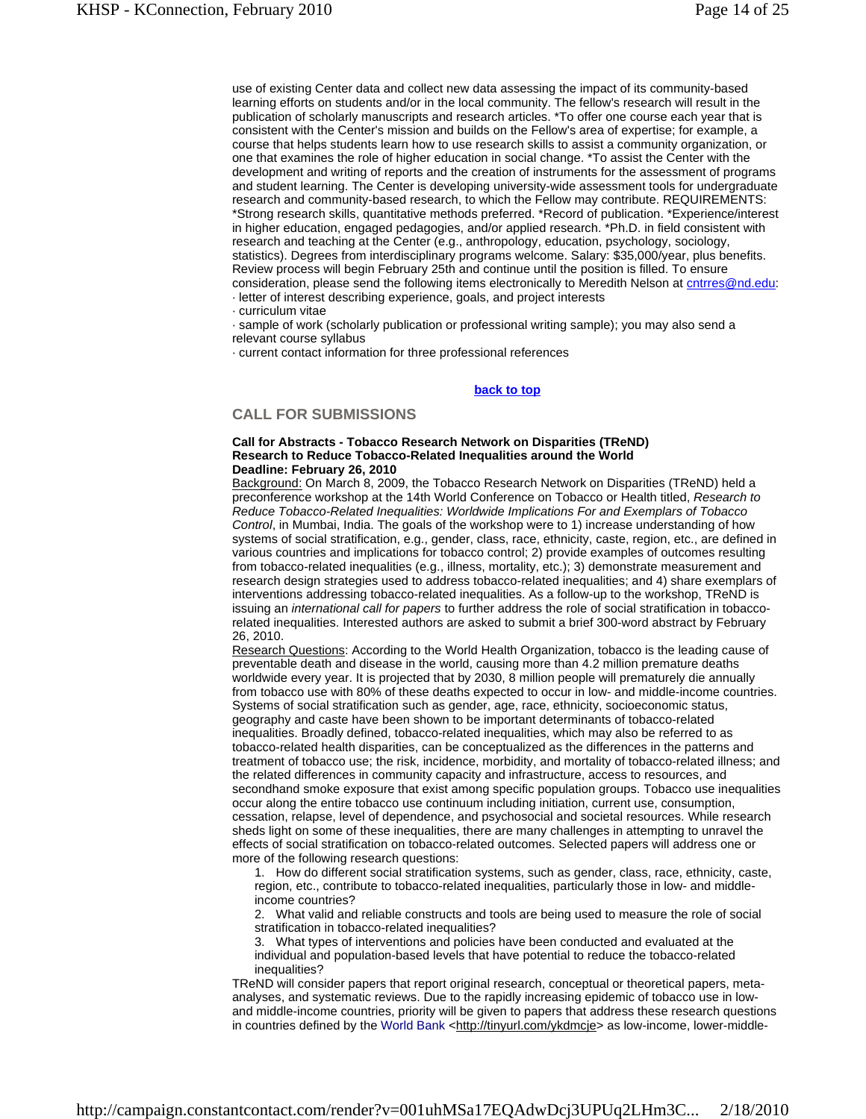use of existing Center data and collect new data assessing the impact of its community-based learning efforts on students and/or in the local community. The fellow's research will result in the publication of scholarly manuscripts and research articles. \*To offer one course each year that is consistent with the Center's mission and builds on the Fellow's area of expertise; for example, a course that helps students learn how to use research skills to assist a community organization, or one that examines the role of higher education in social change. \*To assist the Center with the development and writing of reports and the creation of instruments for the assessment of programs and student learning. The Center is developing university-wide assessment tools for undergraduate research and community-based research, to which the Fellow may contribute. REQUIREMENTS: \*Strong research skills, quantitative methods preferred. \*Record of publication. \*Experience/interest in higher education, engaged pedagogies, and/or applied research. \*Ph.D. in field consistent with research and teaching at the Center (e.g., anthropology, education, psychology, sociology, statistics). Degrees from interdisciplinary programs welcome. Salary: \$35,000/year, plus benefits. Review process will begin February 25th and continue until the position is filled. To ensure consideration, please send the following items electronically to Meredith Nelson at cntrres@nd.edu: · letter of interest describing experience, goals, and project interests

· curriculum vitae

· sample of work (scholarly publication or professional writing sample); you may also send a relevant course syllabus

· current contact information for three professional references

#### **back to top**

# **CALL FOR SUBMISSIONS**

#### **Call for Abstracts - Tobacco Research Network on Disparities (TReND) Research to Reduce Tobacco-Related Inequalities around the World Deadline: February 26, 2010**

Background: On March 8, 2009, the Tobacco Research Network on Disparities (TReND) held a preconference workshop at the 14th World Conference on Tobacco or Health titled, *Research to Reduce Tobacco-Related Inequalities: Worldwide Implications For and Exemplars of Tobacco Control*, in Mumbai, India. The goals of the workshop were to 1) increase understanding of how systems of social stratification, e.g., gender, class, race, ethnicity, caste, region, etc., are defined in various countries and implications for tobacco control; 2) provide examples of outcomes resulting from tobacco-related inequalities (e.g., illness, mortality, etc.); 3) demonstrate measurement and research design strategies used to address tobacco-related inequalities; and 4) share exemplars of interventions addressing tobacco-related inequalities. As a follow-up to the workshop, TReND is issuing an *international call for papers* to further address the role of social stratification in tobaccorelated inequalities. Interested authors are asked to submit a brief 300-word abstract by February 26, 2010.

Research Questions: According to the World Health Organization, tobacco is the leading cause of preventable death and disease in the world, causing more than 4.2 million premature deaths worldwide every year. It is projected that by 2030, 8 million people will prematurely die annually from tobacco use with 80% of these deaths expected to occur in low- and middle-income countries. Systems of social stratification such as gender, age, race, ethnicity, socioeconomic status, geography and caste have been shown to be important determinants of tobacco-related inequalities. Broadly defined, tobacco-related inequalities, which may also be referred to as tobacco-related health disparities, can be conceptualized as the differences in the patterns and treatment of tobacco use; the risk, incidence, morbidity, and mortality of tobacco-related illness; and the related differences in community capacity and infrastructure, access to resources, and secondhand smoke exposure that exist among specific population groups. Tobacco use inequalities occur along the entire tobacco use continuum including initiation, current use, consumption, cessation, relapse, level of dependence, and psychosocial and societal resources. While research sheds light on some of these inequalities, there are many challenges in attempting to unravel the effects of social stratification on tobacco-related outcomes. Selected papers will address one or more of the following research questions:

1. How do different social stratification systems, such as gender, class, race, ethnicity, caste, region, etc., contribute to tobacco-related inequalities, particularly those in low- and middleincome countries?

2. What valid and reliable constructs and tools are being used to measure the role of social stratification in tobacco-related inequalities?

3. What types of interventions and policies have been conducted and evaluated at the individual and population-based levels that have potential to reduce the tobacco-related inequalities?

TReND will consider papers that report original research, conceptual or theoretical papers, metaanalyses, and systematic reviews. Due to the rapidly increasing epidemic of tobacco use in lowand middle-income countries, priority will be given to papers that address these research questions in countries defined by the World Bank <http://tinyurl.com/ykdmcje> as low-income, lower-middle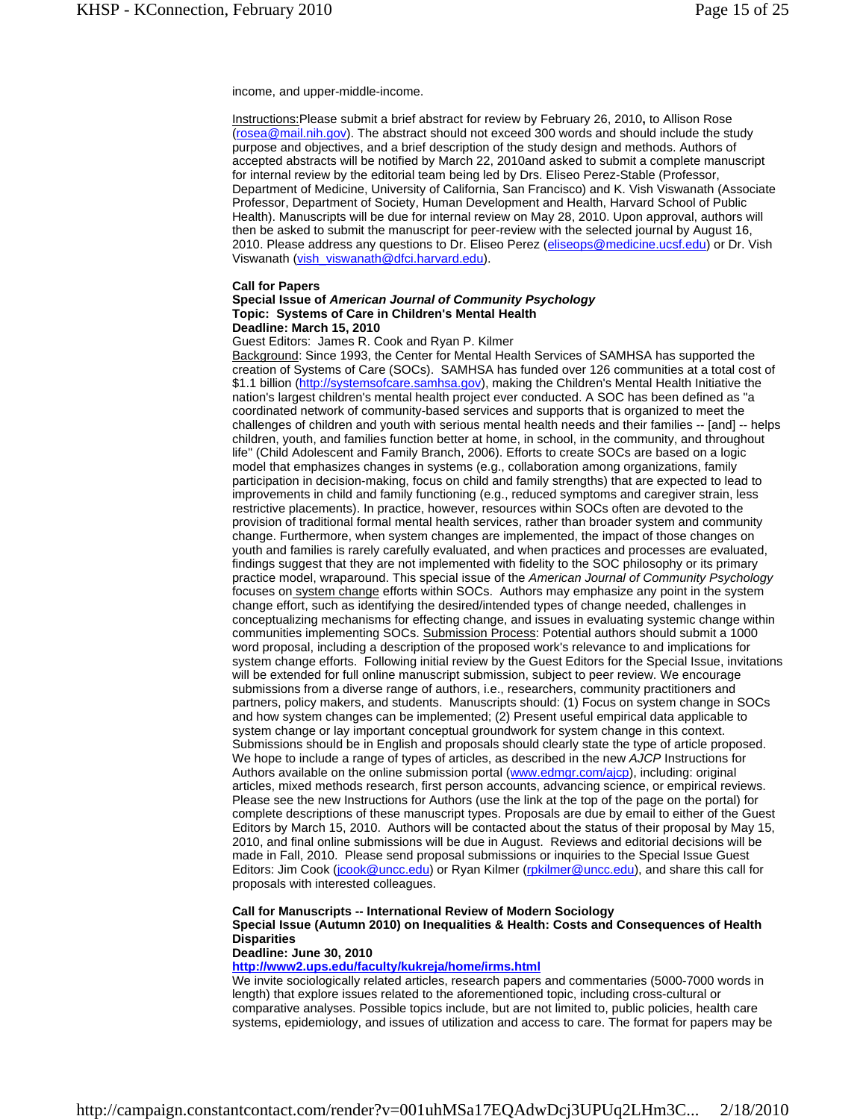income, and upper-middle-income.

Instructions:Please submit a brief abstract for review by February 26, 2010**,** to Allison Rose (rosea@mail.nih.gov). The abstract should not exceed 300 words and should include the study purpose and objectives, and a brief description of the study design and methods. Authors of accepted abstracts will be notified by March 22, 2010and asked to submit a complete manuscript for internal review by the editorial team being led by Drs. Eliseo Perez-Stable (Professor, Department of Medicine, University of California, San Francisco) and K. Vish Viswanath (Associate Professor, Department of Society, Human Development and Health, Harvard School of Public Health). Manuscripts will be due for internal review on May 28, 2010. Upon approval, authors will then be asked to submit the manuscript for peer-review with the selected journal by August 16, 2010. Please address any questions to Dr. Eliseo Perez (eliseops@medicine.ucsf.edu) or Dr. Vish Viswanath (vish\_viswanath@dfci.harvard.edu).

#### **Call for Papers**

#### **Special Issue of** *American Journal of Community Psychology*  **Topic: Systems of Care in Children's Mental Health Deadline: March 15, 2010**

#### Guest Editors: James R. Cook and Ryan P. Kilmer

Background: Since 1993, the Center for Mental Health Services of SAMHSA has supported the creation of Systems of Care (SOCs). SAMHSA has funded over 126 communities at a total cost of \$1.1 billion (http://systemsofcare.samhsa.gov), making the Children's Mental Health Initiative the nation's largest children's mental health project ever conducted. A SOC has been defined as "a coordinated network of community-based services and supports that is organized to meet the challenges of children and youth with serious mental health needs and their families -- [and] -- helps children, youth, and families function better at home, in school, in the community, and throughout life" (Child Adolescent and Family Branch, 2006). Efforts to create SOCs are based on a logic model that emphasizes changes in systems (e.g., collaboration among organizations, family participation in decision-making, focus on child and family strengths) that are expected to lead to improvements in child and family functioning (e.g., reduced symptoms and caregiver strain, less restrictive placements). In practice, however, resources within SOCs often are devoted to the provision of traditional formal mental health services, rather than broader system and community change. Furthermore, when system changes are implemented, the impact of those changes on youth and families is rarely carefully evaluated, and when practices and processes are evaluated, findings suggest that they are not implemented with fidelity to the SOC philosophy or its primary practice model, wraparound. This special issue of the *American Journal of Community Psychology* focuses on system change efforts within SOCs. Authors may emphasize any point in the system change effort, such as identifying the desired/intended types of change needed, challenges in conceptualizing mechanisms for effecting change, and issues in evaluating systemic change within communities implementing SOCs. Submission Process: Potential authors should submit a 1000 word proposal, including a description of the proposed work's relevance to and implications for system change efforts. Following initial review by the Guest Editors for the Special Issue, invitations will be extended for full online manuscript submission, subject to peer review. We encourage submissions from a diverse range of authors, i.e., researchers, community practitioners and partners, policy makers, and students. Manuscripts should: (1) Focus on system change in SOCs and how system changes can be implemented; (2) Present useful empirical data applicable to system change or lay important conceptual groundwork for system change in this context. Submissions should be in English and proposals should clearly state the type of article proposed. We hope to include a range of types of articles, as described in the new *AJCP* Instructions for Authors available on the online submission portal (www.edmgr.com/ajcp), including: original articles, mixed methods research, first person accounts, advancing science, or empirical reviews. Please see the new Instructions for Authors (use the link at the top of the page on the portal) for complete descriptions of these manuscript types. Proposals are due by email to either of the Guest Editors by March 15, 2010. Authors will be contacted about the status of their proposal by May 15, 2010, and final online submissions will be due in August. Reviews and editorial decisions will be made in Fall, 2010. Please send proposal submissions or inquiries to the Special Issue Guest Editors: Jim Cook (jcook@uncc.edu) or Ryan Kilmer (rpkilmer@uncc.edu), and share this call for proposals with interested colleagues.

#### **Call for Manuscripts -- International Review of Modern Sociology Special Issue (Autumn 2010) on Inequalities & Health: Costs and Consequences of Health Disparities Deadline: June 30, 2010**

#### **http://www2.ups.edu/faculty/kukreja/home/irms.html**

We invite sociologically related articles, research papers and commentaries (5000-7000 words in length) that explore issues related to the aforementioned topic, including cross-cultural or comparative analyses. Possible topics include, but are not limited to, public policies, health care systems, epidemiology, and issues of utilization and access to care. The format for papers may be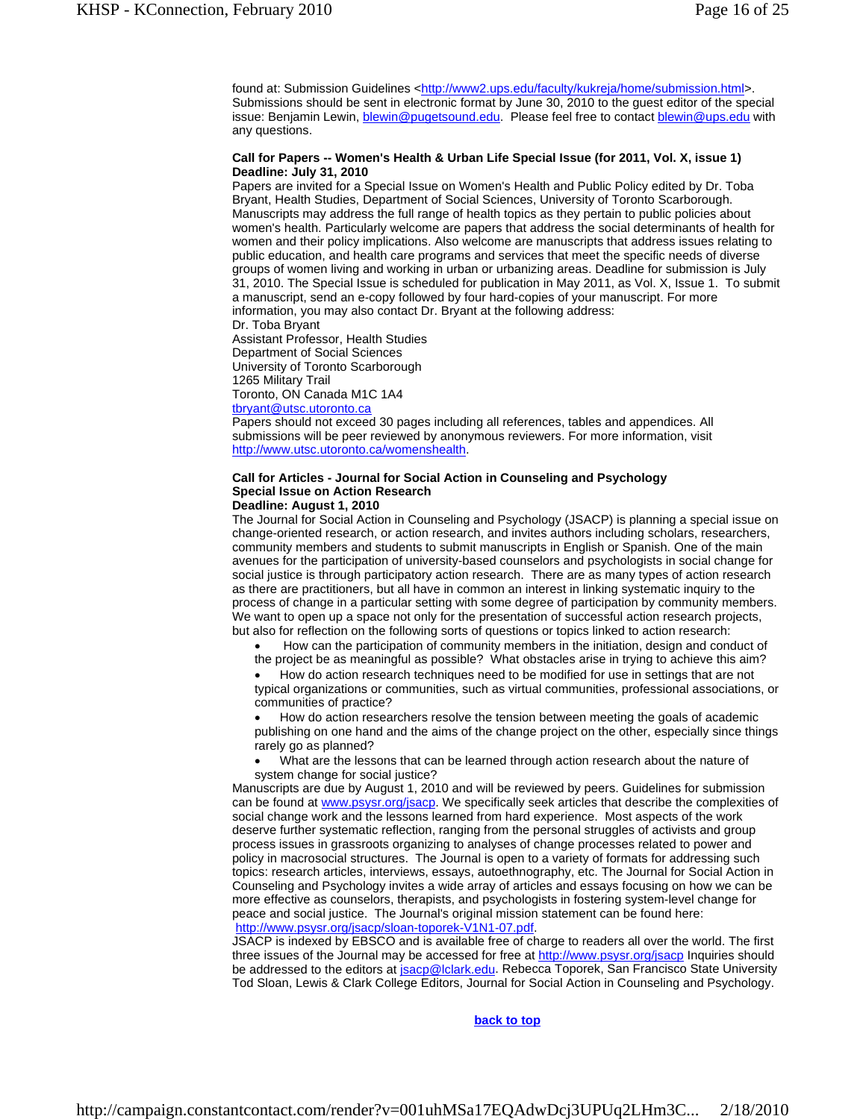found at: Submission Guidelines <http://www2.ups.edu/faculty/kukreja/home/submission.html>. Submissions should be sent in electronic format by June 30, 2010 to the guest editor of the special issue: Benjamin Lewin, blewin@pugetsound.edu. Please feel free to contact blewin@ups.edu with any questions.

#### **Call for Papers -- Women's Health & Urban Life Special Issue (for 2011, Vol. X, issue 1) Deadline: July 31, 2010**

Papers are invited for a Special Issue on Women's Health and Public Policy edited by Dr. Toba Bryant, Health Studies, Department of Social Sciences, University of Toronto Scarborough. Manuscripts may address the full range of health topics as they pertain to public policies about women's health. Particularly welcome are papers that address the social determinants of health for women and their policy implications. Also welcome are manuscripts that address issues relating to public education, and health care programs and services that meet the specific needs of diverse groups of women living and working in urban or urbanizing areas. Deadline for submission is July 31, 2010. The Special Issue is scheduled for publication in May 2011, as Vol. X, Issue 1. To submit a manuscript, send an e-copy followed by four hard-copies of your manuscript. For more information, you may also contact Dr. Bryant at the following address:

Dr. Toba Bryant

Assistant Professor, Health Studies

Department of Social Sciences

University of Toronto Scarborough

1265 Military Trail

Toronto, ON Canada M1C 1A4

tbryant@utsc.utoronto.ca

Papers should not exceed 30 pages including all references, tables and appendices. All submissions will be peer reviewed by anonymous reviewers. For more information, visit http://www.utsc.utoronto.ca/womenshealth.

#### **Call for Articles - Journal for Social Action in Counseling and Psychology Special Issue on Action Research Deadline: August 1, 2010**

The Journal for Social Action in Counseling and Psychology (JSACP) is planning a special issue on change-oriented research, or action research, and invites authors including scholars, researchers, community members and students to submit manuscripts in English or Spanish. One of the main avenues for the participation of university-based counselors and psychologists in social change for social justice is through participatory action research. There are as many types of action research as there are practitioners, but all have in common an interest in linking systematic inquiry to the

process of change in a particular setting with some degree of participation by community members. We want to open up a space not only for the presentation of successful action research projects, but also for reflection on the following sorts of questions or topics linked to action research:

 How can the participation of community members in the initiation, design and conduct of the project be as meaningful as possible? What obstacles arise in trying to achieve this aim?

 How do action research techniques need to be modified for use in settings that are not typical organizations or communities, such as virtual communities, professional associations, or communities of practice?

 How do action researchers resolve the tension between meeting the goals of academic publishing on one hand and the aims of the change project on the other, especially since things rarely go as planned?

 What are the lessons that can be learned through action research about the nature of system change for social justice?

Manuscripts are due by August 1, 2010 and will be reviewed by peers. Guidelines for submission can be found at www.psysr.org/jsacp. We specifically seek articles that describe the complexities of social change work and the lessons learned from hard experience. Most aspects of the work deserve further systematic reflection, ranging from the personal struggles of activists and group process issues in grassroots organizing to analyses of change processes related to power and policy in macrosocial structures. The Journal is open to a variety of formats for addressing such topics: research articles, interviews, essays, autoethnography, etc. The Journal for Social Action in Counseling and Psychology invites a wide array of articles and essays focusing on how we can be more effective as counselors, therapists, and psychologists in fostering system-level change for peace and social justice. The Journal's original mission statement can be found here: http://www.psysr.org/jsacp/sloan-toporek-V1N1-07.pdf.

JSACP is indexed by EBSCO and is available free of charge to readers all over the world. The first three issues of the Journal may be accessed for free at http://www.psysr.org/jsacp Inquiries should be addressed to the editors at jsacp@lclark.edu. Rebecca Toporek, San Francisco State University Tod Sloan, Lewis & Clark College Editors, Journal for Social Action in Counseling and Psychology.

#### **back to top**

http://campaign.constantcontact.com/render?v=001uhMSa17EQAdwDcj3UPUq2LHm3C... 2/18/2010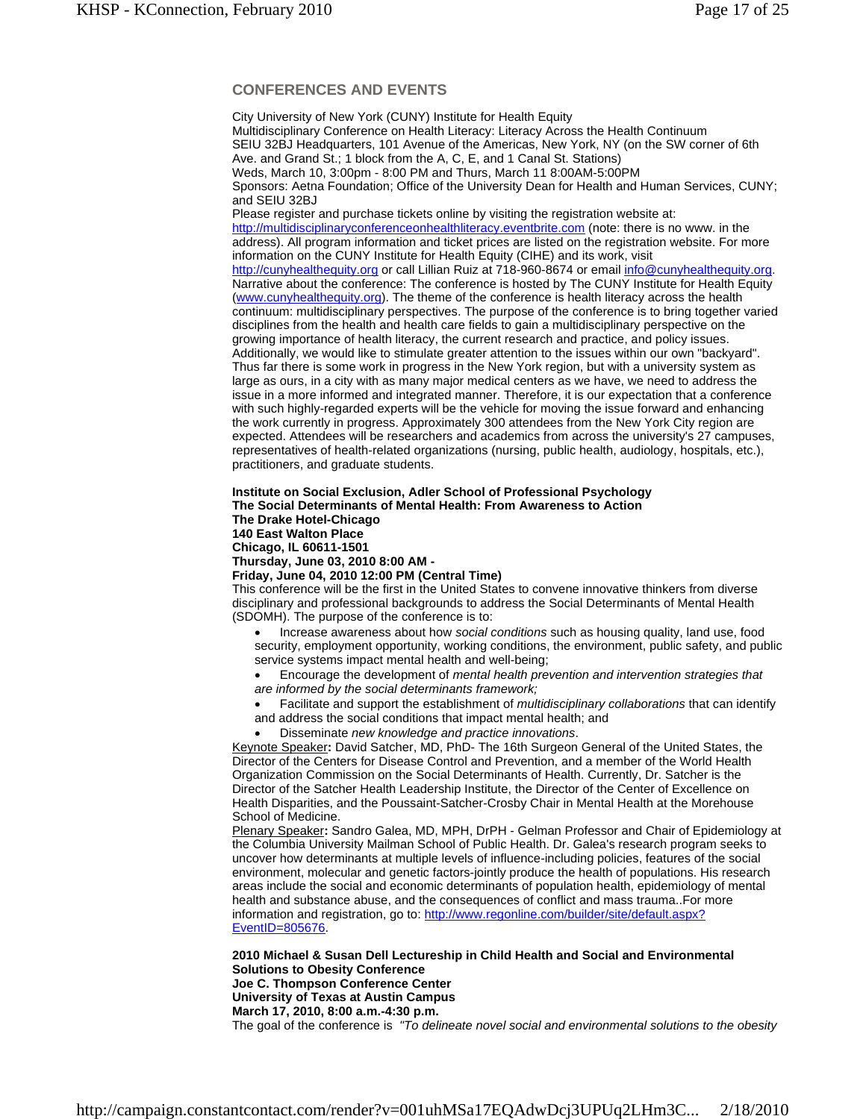# **CONFERENCES AND EVENTS**

City University of New York (CUNY) Institute for Health Equity Multidisciplinary Conference on Health Literacy: Literacy Across the Health Continuum SEIU 32BJ Headquarters, 101 Avenue of the Americas, New York, NY (on the SW corner of 6th Ave. and Grand St.; 1 block from the A, C, E, and 1 Canal St. Stations) Weds, March 10, 3:00pm - 8:00 PM and Thurs, March 11 8:00AM-5:00PM Sponsors: Aetna Foundation; Office of the University Dean for Health and Human Services, CUNY; and SEIU 32BJ Please register and purchase tickets online by visiting the registration website at: http://multidisciplinaryconferenceonhealthliteracy.eventbrite.com (note: there is no www. in the address). All program information and ticket prices are listed on the registration website. For more information on the CUNY Institute for Health Equity (CIHE) and its work, visit http://cunyhealthequity.org or call Lillian Ruiz at 718-960-8674 or email info@cunyhealthequity.org. Narrative about the conference: The conference is hosted by The CUNY Institute for Health Equity (www.cunyhealthequity.org). The theme of the conference is health literacy across the health continuum: multidisciplinary perspectives. The purpose of the conference is to bring together varied disciplines from the health and health care fields to gain a multidisciplinary perspective on the growing importance of health literacy, the current research and practice, and policy issues. Additionally, we would like to stimulate greater attention to the issues within our own "backyard". Thus far there is some work in progress in the New York region, but with a university system as large as ours, in a city with as many major medical centers as we have, we need to address the issue in a more informed and integrated manner. Therefore, it is our expectation that a conference with such highly-regarded experts will be the vehicle for moving the issue forward and enhancing the work currently in progress. Approximately 300 attendees from the New York City region are expected. Attendees will be researchers and academics from across the university's 27 campuses, representatives of health-related organizations (nursing, public health, audiology, hospitals, etc.), practitioners, and graduate students.

### **Institute on Social Exclusion, Adler School of Professional Psychology The Social Determinants of Mental Health: From Awareness to Action**

**The Drake Hotel-Chicago** 

**140 East Walton Place** 

**Chicago, IL 60611-1501** 

**Thursday, June 03, 2010 8:00 AM -** 

**Friday, June 04, 2010 12:00 PM (Central Time)** 

This conference will be the first in the United States to convene innovative thinkers from diverse disciplinary and professional backgrounds to address the Social Determinants of Mental Health (SDOMH). The purpose of the conference is to:

 Increase awareness about how *social conditions* such as housing quality, land use, food security, employment opportunity, working conditions, the environment, public safety, and public service systems impact mental health and well-being;

 Encourage the development of *mental health prevention and intervention strategies that are informed by the social determinants framework;* 

 Facilitate and support the establishment of *multidisciplinary collaborations* that can identify and address the social conditions that impact mental health; and

Disseminate *new knowledge and practice innovations*.

Keynote Speaker**:** David Satcher, MD, PhD- The 16th Surgeon General of the United States, the Director of the Centers for Disease Control and Prevention, and a member of the World Health Organization Commission on the Social Determinants of Health. Currently, Dr. Satcher is the Director of the Satcher Health Leadership Institute, the Director of the Center of Excellence on Health Disparities, and the Poussaint-Satcher-Crosby Chair in Mental Health at the Morehouse School of Medicine.

Plenary Speaker**:** Sandro Galea, MD, MPH, DrPH - Gelman Professor and Chair of Epidemiology at the Columbia University Mailman School of Public Health. Dr. Galea's research program seeks to uncover how determinants at multiple levels of influence-including policies, features of the social environment, molecular and genetic factors-jointly produce the health of populations. His research areas include the social and economic determinants of population health, epidemiology of mental health and substance abuse, and the consequences of conflict and mass trauma..For more information and registration, go to: http://www.regonline.com/builder/site/default.aspx? EventID=805676.

**2010 Michael & Susan Dell Lectureship in Child Health and Social and Environmental Solutions to Obesity Conference**

**Joe C. Thompson Conference Center University of Texas at Austin Campus**

**March 17, 2010, 8:00 a.m.-4:30 p.m.**

The goal of the conference is *"To delineate novel social and environmental solutions to the obesity*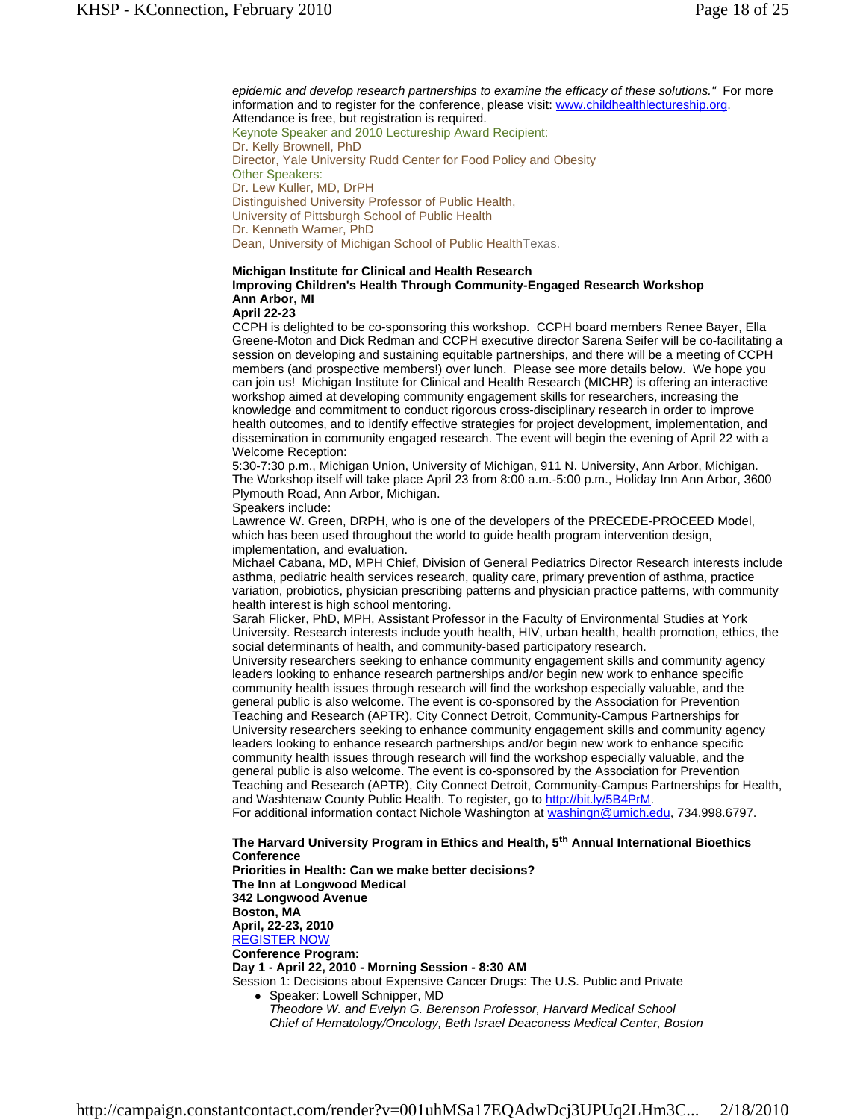*epidemic and develop research partnerships to examine the efficacy of these solutions."* For more information and to register for the conference, please visit: www.childhealthlectureship.org. Attendance is free, but registration is required. Keynote Speaker and 2010 Lectureship Award Recipient: Dr. Kelly Brownell, PhD Director, Yale University Rudd Center for Food Policy and Obesity Other Speakers: Dr. Lew Kuller, MD, DrPH Distinguished University Professor of Public Health, University of Pittsburgh School of Public Health Dr. Kenneth Warner, PhD Dean, University of Michigan School of Public HealthTexas.

# **Michigan Institute for Clinical and Health Research Improving Children's Health Through Community-Engaged Research Workshop Ann Arbor, MI**

#### **April 22-23**

CCPH is delighted to be co-sponsoring this workshop. CCPH board members Renee Bayer, Ella Greene-Moton and Dick Redman and CCPH executive director Sarena Seifer will be co-facilitating a session on developing and sustaining equitable partnerships, and there will be a meeting of CCPH members (and prospective members!) over lunch. Please see more details below. We hope you can join us! Michigan Institute for Clinical and Health Research (MICHR) is offering an interactive workshop aimed at developing community engagement skills for researchers, increasing the knowledge and commitment to conduct rigorous cross-disciplinary research in order to improve health outcomes, and to identify effective strategies for project development, implementation, and dissemination in community engaged research. The event will begin the evening of April 22 with a Welcome Reception:

5:30-7:30 p.m., Michigan Union, University of Michigan, 911 N. University, Ann Arbor, Michigan. The Workshop itself will take place April 23 from 8:00 a.m.-5:00 p.m., Holiday Inn Ann Arbor, 3600 Plymouth Road, Ann Arbor, Michigan.

Speakers include:

Lawrence W. Green, DRPH, who is one of the developers of the PRECEDE-PROCEED Model, which has been used throughout the world to guide health program intervention design, implementation, and evaluation.

Michael Cabana, MD, MPH Chief, Division of General Pediatrics Director Research interests include asthma, pediatric health services research, quality care, primary prevention of asthma, practice variation, probiotics, physician prescribing patterns and physician practice patterns, with community health interest is high school mentoring.

Sarah Flicker, PhD, MPH, Assistant Professor in the Faculty of Environmental Studies at York University. Research interests include youth health, HIV, urban health, health promotion, ethics, the social determinants of health, and community-based participatory research.

University researchers seeking to enhance community engagement skills and community agency leaders looking to enhance research partnerships and/or begin new work to enhance specific community health issues through research will find the workshop especially valuable, and the general public is also welcome. The event is co-sponsored by the Association for Prevention Teaching and Research (APTR), City Connect Detroit, Community-Campus Partnerships for University researchers seeking to enhance community engagement skills and community agency leaders looking to enhance research partnerships and/or begin new work to enhance specific community health issues through research will find the workshop especially valuable, and the general public is also welcome. The event is co-sponsored by the Association for Prevention Teaching and Research (APTR), City Connect Detroit, Community-Campus Partnerships for Health, and Washtenaw County Public Health. To register, go to http://bit.ly/5B4PrM.

For additional information contact Nichole Washington at washingn@umich.edu, 734.998.6797.

**The Harvard University Program in Ethics and Health, 5th Annual International Bioethics Conference Priorities in Health: Can we make better decisions? The Inn at Longwood Medical 342 Longwood Avenue Boston, MA April, 22-23, 2010** REGISTER NOW **Conference Program: Day 1 - April 22, 2010 - Morning Session - 8:30 AM** Session 1: Decisions about Expensive Cancer Drugs: The U.S. Public and Private Speaker: Lowell Schnipper, MD

*Theodore W. and Evelyn G. Berenson Professor, Harvard Medical School Chief of Hematology/Oncology, Beth Israel Deaconess Medical Center, Boston*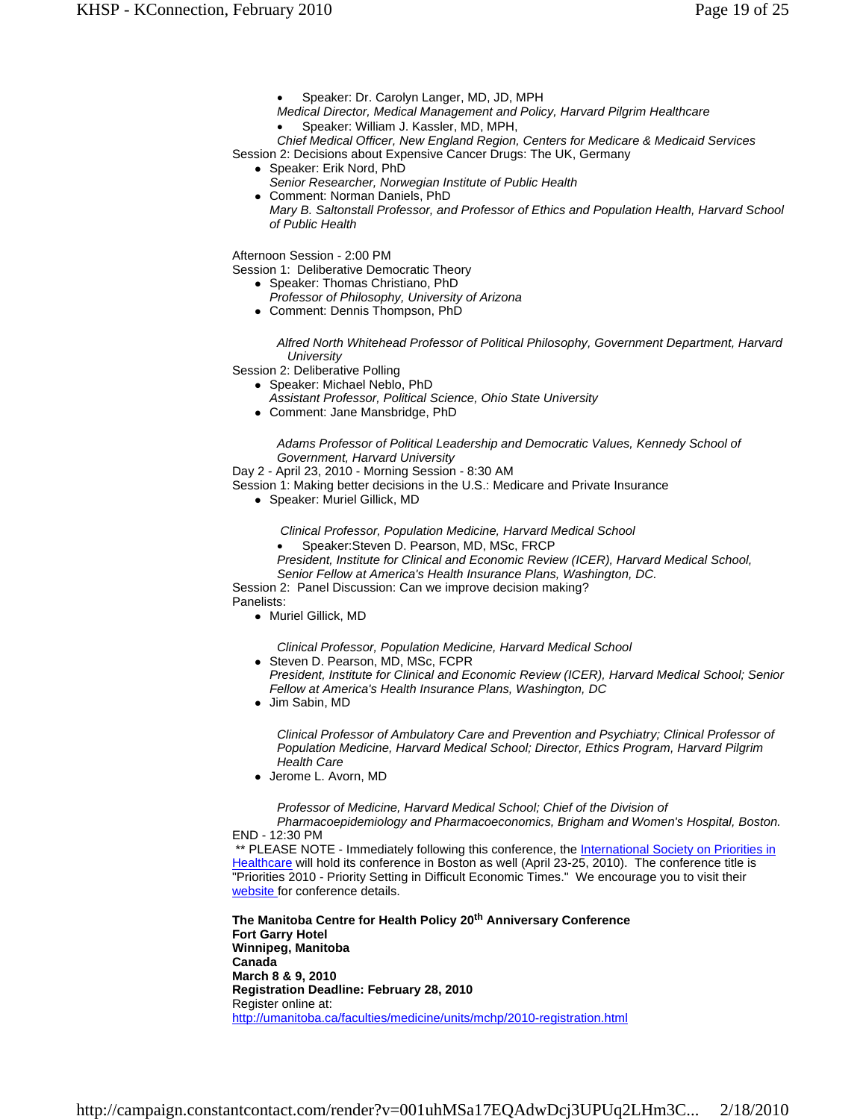- Speaker: Dr. Carolyn Langer, MD, JD, MPH
- *Medical Director, Medical Management and Policy, Harvard Pilgrim Healthcare*
	- Speaker: William J. Kassler, MD, MPH,

*Chief Medical Officer, New England Region, Centers for Medicare & Medicaid Services* Session 2: Decisions about Expensive Cancer Drugs: The UK, Germany

- Speaker: Erik Nord, PhD
- *Senior Researcher, Norwegian Institute of Public Health*
- Comment: Norman Daniels, PhD *Mary B. Saltonstall Professor, and Professor of Ethics and Population Health, Harvard School of Public Health*

Afternoon Session - 2:00 PM

Session 1: Deliberative Democratic Theory

- Speaker: Thomas Christiano, PhD
	- *Professor of Philosophy, University of Arizona*
- Comment: Dennis Thompson, PhD

*Alfred North Whitehead Professor of Political Philosophy, Government Department, Harvard University*

Session 2: Deliberative Polling

- Speaker: Michael Neblo, PhD
	- *Assistant Professor, Political Science, Ohio State University*
- Comment: Jane Mansbridge, PhD

*Adams Professor of Political Leadership and Democratic Values, Kennedy School of Government, Harvard University*

Day 2 - April 23, 2010 - Morning Session - 8:30 AM

Session 1: Making better decisions in the U.S.: Medicare and Private Insurance

Speaker: Muriel Gillick, MD

 *Clinical Professor, Population Medicine, Harvard Medical School* 

Speaker:Steven D. Pearson, MD, MSc, FRCP

*President, Institute for Clinical and Economic Review (ICER), Harvard Medical School, Senior Fellow at America's Health Insurance Plans, Washington, DC.*

Session 2: Panel Discussion: Can we improve decision making? Panelists:

• Muriel Gillick, MD

*Clinical Professor, Population Medicine, Harvard Medical School* 

- Steven D. Pearson, MD, MSc, FCPR
	- *President, Institute for Clinical and Economic Review (ICER), Harvard Medical School; Senior Fellow at America's Health Insurance Plans, Washington, DC*
- Jim Sabin, MD

*Clinical Professor of Ambulatory Care and Prevention and Psychiatry; Clinical Professor of Population Medicine, Harvard Medical School; Director, Ethics Program, Harvard Pilgrim Health Care*

Jerome L. Avorn, MD

*Professor of Medicine, Harvard Medical School; Chief of the Division of Pharmacoepidemiology and Pharmacoeconomics, Brigham and Women's Hospital, Boston.*

END - 12:30 PM

\*\* PLEASE NOTE - Immediately following this conference, the International Society on Priorities in Healthcare will hold its conference in Boston as well (April 23-25, 2010). The conference title is "Priorities 2010 - Priority Setting in Difficult Economic Times." We encourage you to visit their website for conference details.

**The Manitoba Centre for Health Policy 20th Anniversary Conference Fort Garry Hotel Winnipeg, Manitoba Canada March 8 & 9, 2010 Registration Deadline: February 28, 2010** Register online at: http://umanitoba.ca/faculties/medicine/units/mchp/2010-registration.html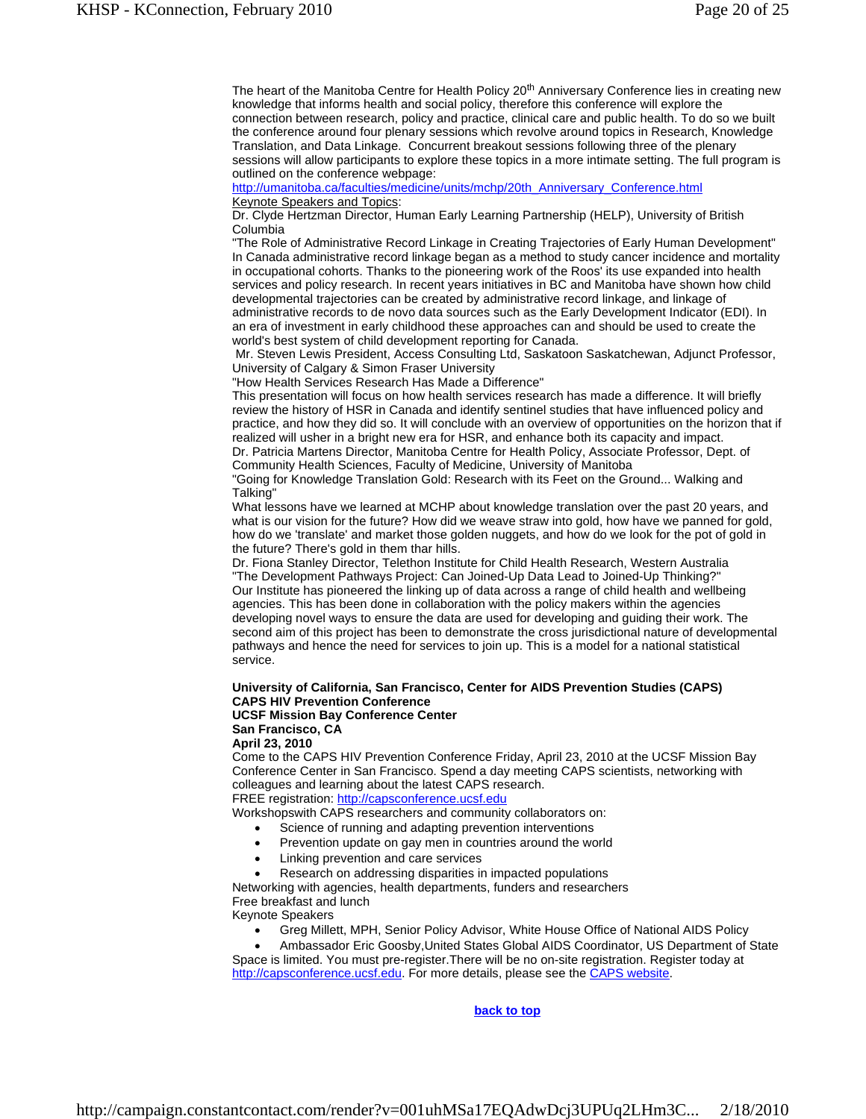The heart of the Manitoba Centre for Health Policy 20<sup>th</sup> Anniversary Conference lies in creating new knowledge that informs health and social policy, therefore this conference will explore the connection between research, policy and practice, clinical care and public health. To do so we built the conference around four plenary sessions which revolve around topics in Research, Knowledge Translation, and Data Linkage. Concurrent breakout sessions following three of the plenary sessions will allow participants to explore these topics in a more intimate setting. The full program is outlined on the conference webpage:

http://umanitoba.ca/faculties/medicine/units/mchp/20th\_Anniversary\_Conference.html Keynote Speakers and Topics:

Dr. Clyde Hertzman Director, Human Early Learning Partnership (HELP), University of British Columbia

"The Role of Administrative Record Linkage in Creating Trajectories of Early Human Development" In Canada administrative record linkage began as a method to study cancer incidence and mortality in occupational cohorts. Thanks to the pioneering work of the Roos' its use expanded into health services and policy research. In recent years initiatives in BC and Manitoba have shown how child developmental trajectories can be created by administrative record linkage, and linkage of administrative records to de novo data sources such as the Early Development Indicator (EDI). In an era of investment in early childhood these approaches can and should be used to create the world's best system of child development reporting for Canada.

 Mr. Steven Lewis President, Access Consulting Ltd, Saskatoon Saskatchewan, Adjunct Professor, University of Calgary & Simon Fraser University

"How Health Services Research Has Made a Difference"

This presentation will focus on how health services research has made a difference. It will briefly review the history of HSR in Canada and identify sentinel studies that have influenced policy and practice, and how they did so. It will conclude with an overview of opportunities on the horizon that if realized will usher in a bright new era for HSR, and enhance both its capacity and impact. Dr. Patricia Martens Director, Manitoba Centre for Health Policy, Associate Professor, Dept. of Community Health Sciences, Faculty of Medicine, University of Manitoba

"Going for Knowledge Translation Gold: Research with its Feet on the Ground... Walking and Talking"

What lessons have we learned at MCHP about knowledge translation over the past 20 years, and what is our vision for the future? How did we weave straw into gold, how have we panned for gold, how do we 'translate' and market those golden nuggets, and how do we look for the pot of gold in the future? There's gold in them thar hills.

Dr. Fiona Stanley Director, Telethon Institute for Child Health Research, Western Australia "The Development Pathways Project: Can Joined-Up Data Lead to Joined-Up Thinking?" Our Institute has pioneered the linking up of data across a range of child health and wellbeing agencies. This has been done in collaboration with the policy makers within the agencies developing novel ways to ensure the data are used for developing and guiding their work. The second aim of this project has been to demonstrate the cross jurisdictional nature of developmental pathways and hence the need for services to join up. This is a model for a national statistical service.

#### **University of California, San Francisco, Center for AIDS Prevention Studies (CAPS) CAPS HIV Prevention Conference UCSF Mission Bay Conference Center**

**San Francisco, CA**

**April 23, 2010**

Come to the CAPS HIV Prevention Conference Friday, April 23, 2010 at the UCSF Mission Bay Conference Center in San Francisco. Spend a day meeting CAPS scientists, networking with colleagues and learning about the latest CAPS research. FREE registration: http://capsconference.ucsf.edu

Workshopswith CAPS researchers and community collaborators on:

- Science of running and adapting prevention interventions
- Prevention update on gay men in countries around the world
- Linking prevention and care services
- Research on addressing disparities in impacted populations

Networking with agencies, health departments, funders and researchers Free breakfast and lunch Keynote Speakers

- Greg Millett, MPH, Senior Policy Advisor, White House Office of National AIDS Policy
- Ambassador Eric Goosby,United States Global AIDS Coordinator, US Department of State Space is limited. You must pre-register.There will be no on-site registration. Register today at http://capsconference.ucsf.edu</u>. For more details, please see the **CAPS** website.

**back to top**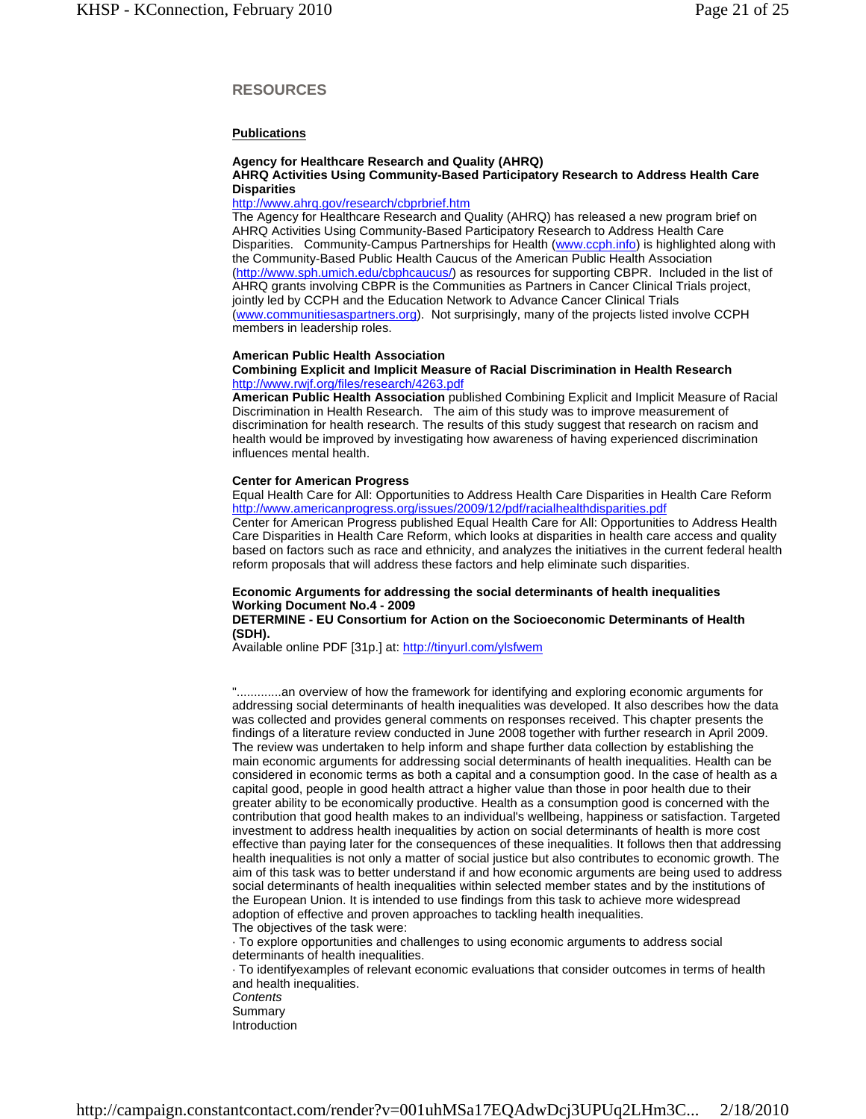# **RESOURCES**

# **Publications**

# **Agency for Healthcare Research and Quality (AHRQ)**

## **AHRQ Activities Using Community-Based Participatory Research to Address Health Care Disparities**

#### http://www.ahrq.gov/research/cbprbrief.htm

The Agency for Healthcare Research and Quality (AHRQ) has released a new program brief on AHRQ Activities Using Community-Based Participatory Research to Address Health Care Disparities. Community-Campus Partnerships for Health (www.ccph.info) is highlighted along with the Community-Based Public Health Caucus of the American Public Health Association (http://www.sph.umich.edu/cbphcaucus/) as resources for supporting CBPR. Included in the list of AHRQ grants involving CBPR is the Communities as Partners in Cancer Clinical Trials project, jointly led by CCPH and the Education Network to Advance Cancer Clinical Trials (www.communitiesaspartners.org). Not surprisingly, many of the projects listed involve CCPH members in leadership roles.

#### **American Public Health Association**

#### **Combining Explicit and Implicit Measure of Racial Discrimination in Health Research** http://www.rwjf.org/files/research/4263.pdf

**American Public Health Association** published Combining Explicit and Implicit Measure of Racial Discrimination in Health Research. The aim of this study was to improve measurement of discrimination for health research. The results of this study suggest that research on racism and health would be improved by investigating how awareness of having experienced discrimination influences mental health.

#### **Center for American Progress**

Equal Health Care for All: Opportunities to Address Health Care Disparities in Health Care Reform http://www.americanprogress.org/issues/2009/12/pdf/racialhealthdisparities.pdf

Center for American Progress published Equal Health Care for All: Opportunities to Address Health Care Disparities in Health Care Reform, which looks at disparities in health care access and quality based on factors such as race and ethnicity, and analyzes the initiatives in the current federal health reform proposals that will address these factors and help eliminate such disparities.

# **Economic Arguments for addressing the social determinants of health inequalities Working Document No.4 - 2009**

**DETERMINE - EU Consortium for Action on the Socioeconomic Determinants of Health (SDH).** 

Available online PDF [31p.] at: http://tinyurl.com/ylsfwem

............an overview of how the framework for identifying and exploring economic arguments for addressing social determinants of health inequalities was developed. It also describes how the data was collected and provides general comments on responses received. This chapter presents the findings of a literature review conducted in June 2008 together with further research in April 2009. The review was undertaken to help inform and shape further data collection by establishing the main economic arguments for addressing social determinants of health inequalities. Health can be considered in economic terms as both a capital and a consumption good. In the case of health as a capital good, people in good health attract a higher value than those in poor health due to their greater ability to be economically productive. Health as a consumption good is concerned with the contribution that good health makes to an individual's wellbeing, happiness or satisfaction. Targeted investment to address health inequalities by action on social determinants of health is more cost effective than paying later for the consequences of these inequalities. It follows then that addressing health inequalities is not only a matter of social justice but also contributes to economic growth. The aim of this task was to better understand if and how economic arguments are being used to address social determinants of health inequalities within selected member states and by the institutions of the European Union. It is intended to use findings from this task to achieve more widespread adoption of effective and proven approaches to tackling health inequalities. The objectives of the task were:

· To explore opportunities and challenges to using economic arguments to address social determinants of health inequalities.

· To identifyexamples of relevant economic evaluations that consider outcomes in terms of health and health inequalities. *Contents*

- Summary
- Introduction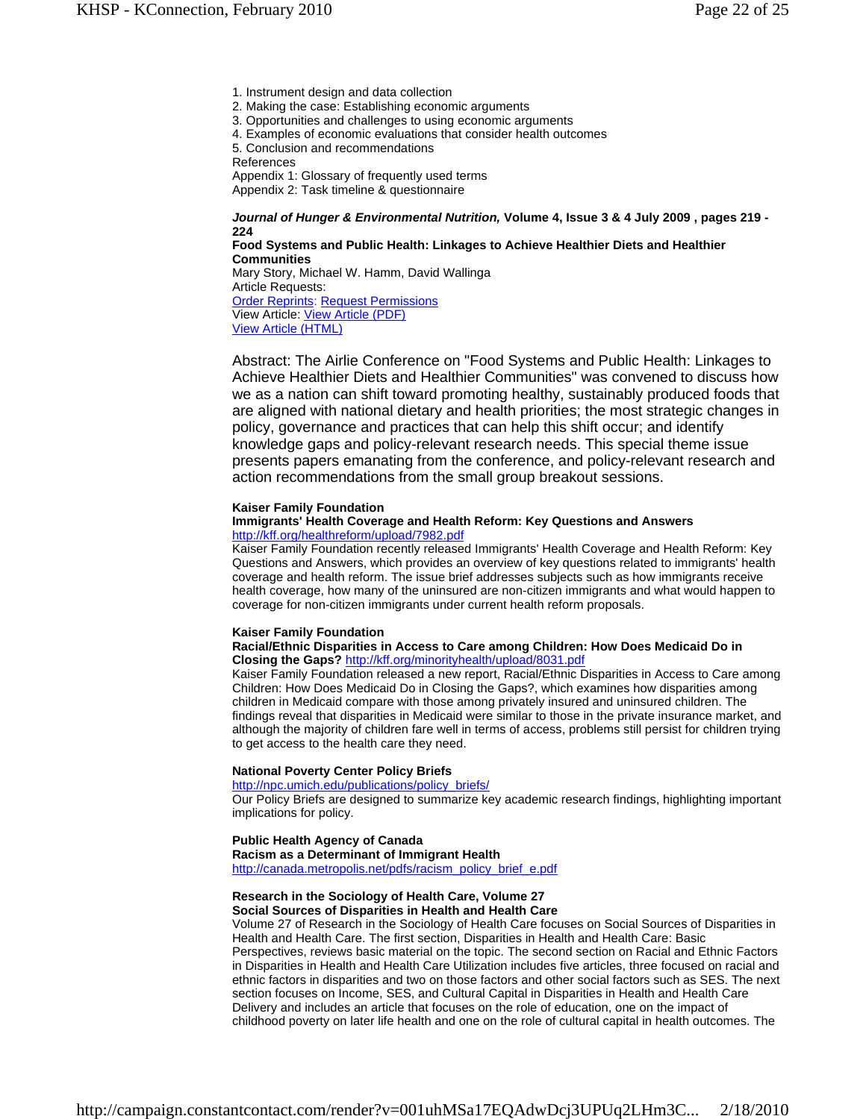1. Instrument design and data collection

- 2. Making the case: Establishing economic arguments
- 3. Opportunities and challenges to using economic arguments
- 4. Examples of economic evaluations that consider health outcomes
- 5. Conclusion and recommendations

References

Appendix 1: Glossary of frequently used terms Appendix 2: Task timeline & questionnaire

*Journal of Hunger & Environmental Nutrition,* **Volume 4, Issue 3 & 4 July 2009 , pages 219 - 224**

**Food Systems and Public Health: Linkages to Achieve Healthier Diets and Healthier Communities**  Mary Story, Michael W. Hamm, David Wallinga Article Requests: Order Reprints: Request Permissions

View Article: View Article (PDF) View Article (HTML)

Abstract: The Airlie Conference on "Food Systems and Public Health: Linkages to Achieve Healthier Diets and Healthier Communities" was convened to discuss how we as a nation can shift toward promoting healthy, sustainably produced foods that are aligned with national dietary and health priorities; the most strategic changes in policy, governance and practices that can help this shift occur; and identify knowledge gaps and policy-relevant research needs. This special theme issue presents papers emanating from the conference, and policy-relevant research and action recommendations from the small group breakout sessions.

#### **Kaiser Family Foundation**

#### **Immigrants' Health Coverage and Health Reform: Key Questions and Answers** http://kff.org/healthreform/upload/7982.pdf

Kaiser Family Foundation recently released Immigrants' Health Coverage and Health Reform: Key Questions and Answers, which provides an overview of key questions related to immigrants' health coverage and health reform. The issue brief addresses subjects such as how immigrants receive health coverage, how many of the uninsured are non-citizen immigrants and what would happen to coverage for non-citizen immigrants under current health reform proposals.

#### **Kaiser Family Foundation**

#### **Racial/Ethnic Disparities in Access to Care among Children: How Does Medicaid Do in Closing the Gaps?** http://kff.org/minorityhealth/upload/8031.pdf

Kaiser Family Foundation released a new report, Racial/Ethnic Disparities in Access to Care among Children: How Does Medicaid Do in Closing the Gaps?, which examines how disparities among children in Medicaid compare with those among privately insured and uninsured children. The findings reveal that disparities in Medicaid were similar to those in the private insurance market, and although the majority of children fare well in terms of access, problems still persist for children trying to get access to the health care they need.

#### **National Poverty Center Policy Briefs**

http://npc.umich.edu/publications/policy\_briefs/

Our Policy Briefs are designed to summarize key academic research findings, highlighting important implications for policy.

#### **Public Health Agency of Canada**

**Racism as a Determinant of Immigrant Health** http://canada.metropolis.net/pdfs/racism\_policy\_brief\_e.pdf

#### **Research in the Sociology of Health Care, Volume 27 Social Sources of Disparities in Health and Health Care**

Volume 27 of Research in the Sociology of Health Care focuses on Social Sources of Disparities in Health and Health Care. The first section, Disparities in Health and Health Care: Basic Perspectives, reviews basic material on the topic. The second section on Racial and Ethnic Factors in Disparities in Health and Health Care Utilization includes five articles, three focused on racial and ethnic factors in disparities and two on those factors and other social factors such as SES. The next section focuses on Income, SES, and Cultural Capital in Disparities in Health and Health Care Delivery and includes an article that focuses on the role of education, one on the impact of childhood poverty on later life health and one on the role of cultural capital in health outcomes. The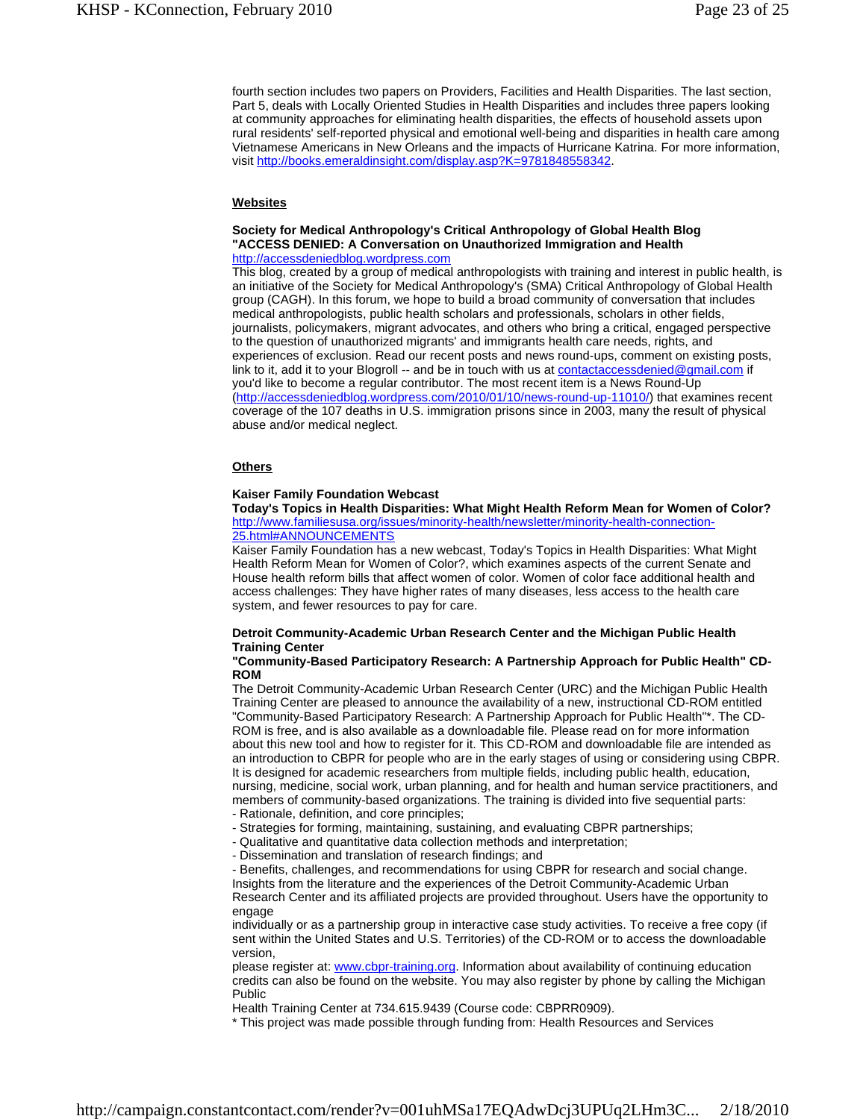fourth section includes two papers on Providers, Facilities and Health Disparities. The last section, Part 5, deals with Locally Oriented Studies in Health Disparities and includes three papers looking at community approaches for eliminating health disparities, the effects of household assets upon rural residents' self-reported physical and emotional well-being and disparities in health care among Vietnamese Americans in New Orleans and the impacts of Hurricane Katrina. For more information, visit http://books.emeraldinsight.com/display.asp?K=9781848558342.

# **Websites**

#### **Society for Medical Anthropology's Critical Anthropology of Global Health Blog "ACCESS DENIED: A Conversation on Unauthorized Immigration and Health** http://accessdeniedblog.wordpress.com

This blog, created by a group of medical anthropologists with training and interest in public health, is an initiative of the Society for Medical Anthropology's (SMA) Critical Anthropology of Global Health group (CAGH). In this forum, we hope to build a broad community of conversation that includes medical anthropologists, public health scholars and professionals, scholars in other fields, journalists, policymakers, migrant advocates, and others who bring a critical, engaged perspective to the question of unauthorized migrants' and immigrants health care needs, rights, and experiences of exclusion. Read our recent posts and news round-ups, comment on existing posts, link to it, add it to your Blogroll -- and be in touch with us at contactaccessdenied@gmail.com if you'd like to become a regular contributor. The most recent item is a News Round-Up (http://accessdeniedblog.wordpress.com/2010/01/10/news-round-up-11010/) that examines recent coverage of the 107 deaths in U.S. immigration prisons since in 2003, many the result of physical abuse and/or medical neglect.

#### **Others**

#### **Kaiser Family Foundation Webcast**

**Today's Topics in Health Disparities: What Might Health Reform Mean for Women of Color?** http://www.familiesusa.org/issues/minority-health/newsletter/minority-health-connection-25.html#ANNOUNCEMENTS

Kaiser Family Foundation has a new webcast, Today's Topics in Health Disparities: What Might Health Reform Mean for Women of Color?, which examines aspects of the current Senate and House health reform bills that affect women of color. Women of color face additional health and access challenges: They have higher rates of many diseases, less access to the health care system, and fewer resources to pay for care.

#### **Detroit Community-Academic Urban Research Center and the Michigan Public Health Training Center**

**"Community-Based Participatory Research: A Partnership Approach for Public Health" CD-ROM**

The Detroit Community-Academic Urban Research Center (URC) and the Michigan Public Health Training Center are pleased to announce the availability of a new, instructional CD-ROM entitled "Community-Based Participatory Research: A Partnership Approach for Public Health"\*. The CD-ROM is free, and is also available as a downloadable file. Please read on for more information about this new tool and how to register for it. This CD-ROM and downloadable file are intended as an introduction to CBPR for people who are in the early stages of using or considering using CBPR. It is designed for academic researchers from multiple fields, including public health, education, nursing, medicine, social work, urban planning, and for health and human service practitioners, and members of community-based organizations. The training is divided into five sequential parts:

- Rationale, definition, and core principles;

- Strategies for forming, maintaining, sustaining, and evaluating CBPR partnerships;

- Qualitative and quantitative data collection methods and interpretation;

- Dissemination and translation of research findings; and

- Benefits, challenges, and recommendations for using CBPR for research and social change. Insights from the literature and the experiences of the Detroit Community-Academic Urban Research Center and its affiliated projects are provided throughout. Users have the opportunity to engage

individually or as a partnership group in interactive case study activities. To receive a free copy (if sent within the United States and U.S. Territories) of the CD-ROM or to access the downloadable version,

please register at: www.cbpr-training.org. Information about availability of continuing education credits can also be found on the website. You may also register by phone by calling the Michigan Public

Health Training Center at 734.615.9439 (Course code: CBPRR0909).

\* This project was made possible through funding from: Health Resources and Services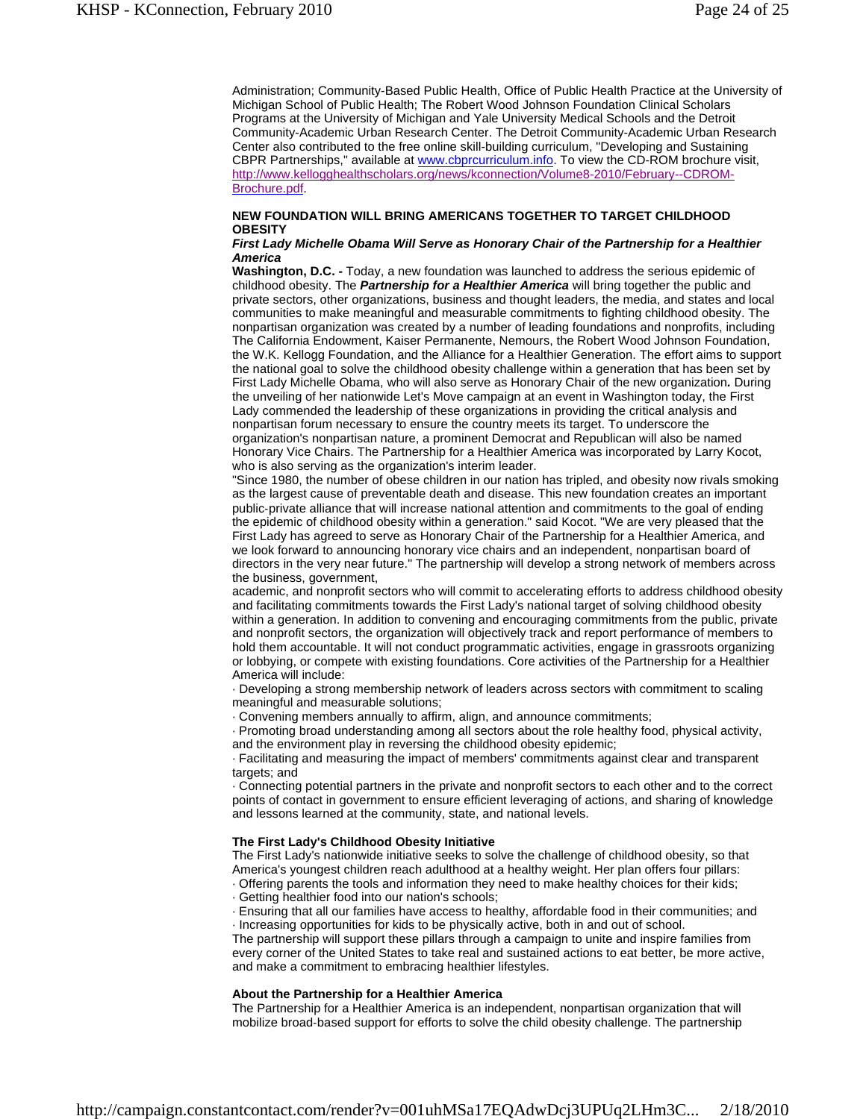Administration; Community-Based Public Health, Office of Public Health Practice at the University of Michigan School of Public Health; The Robert Wood Johnson Foundation Clinical Scholars Programs at the University of Michigan and Yale University Medical Schools and the Detroit Community-Academic Urban Research Center. The Detroit Community-Academic Urban Research Center also contributed to the free online skill-building curriculum, "Developing and Sustaining CBPR Partnerships," available at www.cbprcurriculum.info. To view the CD-ROM brochure visit, http://www.kellogghealthscholars.org/news/kconnection/Volume8-2010/February--CDROM-Brochure.pdf.

# **NEW FOUNDATION WILL BRING AMERICANS TOGETHER TO TARGET CHILDHOOD OBESITY**

#### *First Lady Michelle Obama Will Serve as Honorary Chair of the Partnership for a Healthier America*

**Washington, D.C. -** Today, a new foundation was launched to address the serious epidemic of childhood obesity. The *Partnership for a Healthier America* will bring together the public and private sectors, other organizations, business and thought leaders, the media, and states and local communities to make meaningful and measurable commitments to fighting childhood obesity. The nonpartisan organization was created by a number of leading foundations and nonprofits, including The California Endowment, Kaiser Permanente, Nemours, the Robert Wood Johnson Foundation, the W.K. Kellogg Foundation, and the Alliance for a Healthier Generation. The effort aims to support the national goal to solve the childhood obesity challenge within a generation that has been set by First Lady Michelle Obama, who will also serve as Honorary Chair of the new organization*.* During the unveiling of her nationwide Let's Move campaign at an event in Washington today, the First Lady commended the leadership of these organizations in providing the critical analysis and nonpartisan forum necessary to ensure the country meets its target. To underscore the organization's nonpartisan nature, a prominent Democrat and Republican will also be named Honorary Vice Chairs. The Partnership for a Healthier America was incorporated by Larry Kocot, who is also serving as the organization's interim leader.

"Since 1980, the number of obese children in our nation has tripled, and obesity now rivals smoking as the largest cause of preventable death and disease. This new foundation creates an important public‐private alliance that will increase national attention and commitments to the goal of ending the epidemic of childhood obesity within a generation." said Kocot. "We are very pleased that the First Lady has agreed to serve as Honorary Chair of the Partnership for a Healthier America, and we look forward to announcing honorary vice chairs and an independent, nonpartisan board of directors in the very near future." The partnership will develop a strong network of members across the business, government,

academic, and nonprofit sectors who will commit to accelerating efforts to address childhood obesity and facilitating commitments towards the First Lady's national target of solving childhood obesity within a generation. In addition to convening and encouraging commitments from the public, private and nonprofit sectors, the organization will objectively track and report performance of members to hold them accountable. It will not conduct programmatic activities, engage in grassroots organizing or lobbying, or compete with existing foundations. Core activities of the Partnership for a Healthier America will include:

· Developing a strong membership network of leaders across sectors with commitment to scaling meaningful and measurable solutions;

· Convening members annually to affirm, align, and announce commitments;

· Promoting broad understanding among all sectors about the role healthy food, physical activity,

and the environment play in reversing the childhood obesity epidemic;

· Facilitating and measuring the impact of members' commitments against clear and transparent targets; and

· Connecting potential partners in the private and nonprofit sectors to each other and to the correct points of contact in government to ensure efficient leveraging of actions, and sharing of knowledge and lessons learned at the community, state, and national levels.

#### **The First Lady's Childhood Obesity Initiative**

The First Lady's nationwide initiative seeks to solve the challenge of childhood obesity, so that America's youngest children reach adulthood at a healthy weight. Her plan offers four pillars:

- · Offering parents the tools and information they need to make healthy choices for their kids;
- · Getting healthier food into our nation's schools;

· Ensuring that all our families have access to healthy, affordable food in their communities; and · Increasing opportunities for kids to be physically active, both in and out of school.

The partnership will support these pillars through a campaign to unite and inspire families from every corner of the United States to take real and sustained actions to eat better, be more active, and make a commitment to embracing healthier lifestyles.

#### **About the Partnership for a Healthier America**

The Partnership for a Healthier America is an independent, nonpartisan organization that will mobilize broad‐based support for efforts to solve the child obesity challenge. The partnership